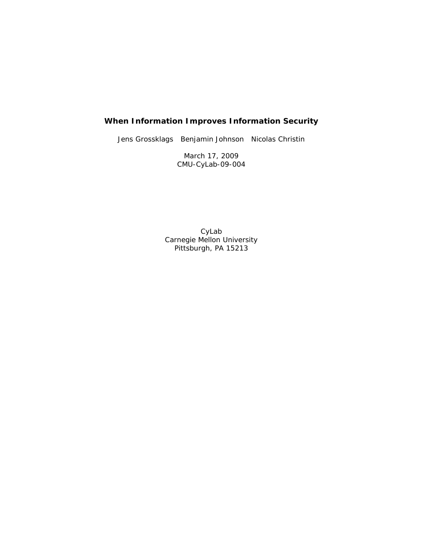## **When Information Improves Information Security**

Jens Grossklags Benjamin Johnson Nicolas Christin

March 17, 2009 CMU-CyLab-09-004

CyLab Carnegie Mellon University Pittsburgh, PA 15213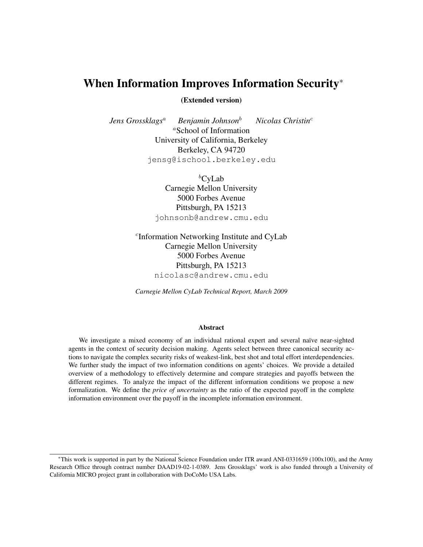# When Information Improves Information Security<sup>\*</sup>

(Extended version)

*Jens Grossklags*<sup>a</sup> *Benjamin Johnson*<sup>b</sup> *Nicolas Christin*<sup>c</sup> <sup>a</sup>School of Information University of California, Berkeley Berkeley, CA 94720 jensg@ischool.berkeley.edu

> ${}^b$ CyLab Carnegie Mellon University 5000 Forbes Avenue Pittsburgh, PA 15213 johnsonb@andrew.cmu.edu

c Information Networking Institute and CyLab Carnegie Mellon University 5000 Forbes Avenue Pittsburgh, PA 15213 nicolasc@andrew.cmu.edu

*Carnegie Mellon CyLab Technical Report, March 2009*

#### Abstract

We investigate a mixed economy of an individual rational expert and several naïve near-sighted agents in the context of security decision making. Agents select between three canonical security actions to navigate the complex security risks of weakest-link, best shot and total effort interdependencies. We further study the impact of two information conditions on agents' choices. We provide a detailed overview of a methodology to effectively determine and compare strategies and payoffs between the different regimes. To analyze the impact of the different information conditions we propose a new formalization. We define the *price of uncertainty* as the ratio of the expected payoff in the complete information environment over the payoff in the incomplete information environment.

<sup>∗</sup>This work is supported in part by the National Science Foundation under ITR award ANI-0331659 (100x100), and the Army Research Office through contract number DAAD19-02-1-0389. Jens Grossklags' work is also funded through a University of California MICRO project grant in collaboration with DoCoMo USA Labs.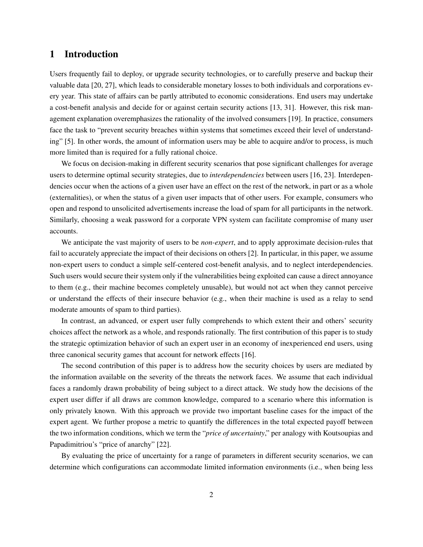## 1 Introduction

Users frequently fail to deploy, or upgrade security technologies, or to carefully preserve and backup their valuable data [20, 27], which leads to considerable monetary losses to both individuals and corporations every year. This state of affairs can be partly attributed to economic considerations. End users may undertake a cost-benefit analysis and decide for or against certain security actions [13, 31]. However, this risk management explanation overemphasizes the rationality of the involved consumers [19]. In practice, consumers face the task to "prevent security breaches within systems that sometimes exceed their level of understanding" [5]. In other words, the amount of information users may be able to acquire and/or to process, is much more limited than is required for a fully rational choice.

We focus on decision-making in different security scenarios that pose significant challenges for average users to determine optimal security strategies, due to *interdependencies* between users [16, 23]. Interdependencies occur when the actions of a given user have an effect on the rest of the network, in part or as a whole (externalities), or when the status of a given user impacts that of other users. For example, consumers who open and respond to unsolicited advertisements increase the load of spam for all participants in the network. Similarly, choosing a weak password for a corporate VPN system can facilitate compromise of many user accounts.

We anticipate the vast majority of users to be *non-expert*, and to apply approximate decision-rules that fail to accurately appreciate the impact of their decisions on others [2]. In particular, in this paper, we assume non-expert users to conduct a simple self-centered cost-benefit analysis, and to neglect interdependencies. Such users would secure their system only if the vulnerabilities being exploited can cause a direct annoyance to them (e.g., their machine becomes completely unusable), but would not act when they cannot perceive or understand the effects of their insecure behavior (e.g., when their machine is used as a relay to send moderate amounts of spam to third parties).

In contrast, an advanced, or expert user fully comprehends to which extent their and others' security choices affect the network as a whole, and responds rationally. The first contribution of this paper is to study the strategic optimization behavior of such an expert user in an economy of inexperienced end users, using three canonical security games that account for network effects [16].

The second contribution of this paper is to address how the security choices by users are mediated by the information available on the severity of the threats the network faces. We assume that each individual faces a randomly drawn probability of being subject to a direct attack. We study how the decisions of the expert user differ if all draws are common knowledge, compared to a scenario where this information is only privately known. With this approach we provide two important baseline cases for the impact of the expert agent. We further propose a metric to quantify the differences in the total expected payoff between the two information conditions, which we term the "*price of uncertainty*," per analogy with Koutsoupias and Papadimitriou's "price of anarchy" [22].

By evaluating the price of uncertainty for a range of parameters in different security scenarios, we can determine which configurations can accommodate limited information environments (i.e., when being less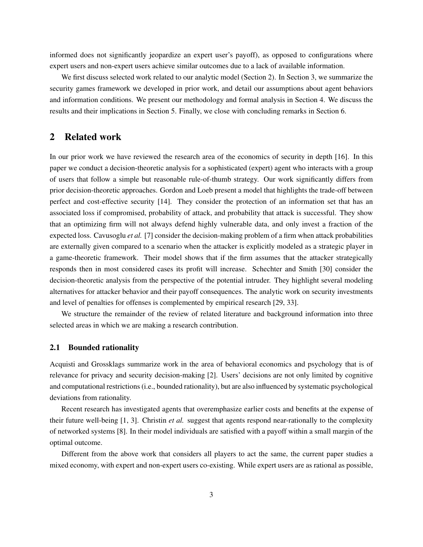informed does not significantly jeopardize an expert user's payoff), as opposed to configurations where expert users and non-expert users achieve similar outcomes due to a lack of available information.

We first discuss selected work related to our analytic model (Section 2). In Section 3, we summarize the security games framework we developed in prior work, and detail our assumptions about agent behaviors and information conditions. We present our methodology and formal analysis in Section 4. We discuss the results and their implications in Section 5. Finally, we close with concluding remarks in Section 6.

## 2 Related work

In our prior work we have reviewed the research area of the economics of security in depth [16]. In this paper we conduct a decision-theoretic analysis for a sophisticated (expert) agent who interacts with a group of users that follow a simple but reasonable rule-of-thumb strategy. Our work significantly differs from prior decision-theoretic approaches. Gordon and Loeb present a model that highlights the trade-off between perfect and cost-effective security [14]. They consider the protection of an information set that has an associated loss if compromised, probability of attack, and probability that attack is successful. They show that an optimizing firm will not always defend highly vulnerable data, and only invest a fraction of the expected loss. Cavusoglu *et al.* [7] consider the decision-making problem of a firm when attack probabilities are externally given compared to a scenario when the attacker is explicitly modeled as a strategic player in a game-theoretic framework. Their model shows that if the firm assumes that the attacker strategically responds then in most considered cases its profit will increase. Schechter and Smith [30] consider the decision-theoretic analysis from the perspective of the potential intruder. They highlight several modeling alternatives for attacker behavior and their payoff consequences. The analytic work on security investments and level of penalties for offenses is complemented by empirical research [29, 33].

We structure the remainder of the review of related literature and background information into three selected areas in which we are making a research contribution.

### 2.1 Bounded rationality

Acquisti and Grossklags summarize work in the area of behavioral economics and psychology that is of relevance for privacy and security decision-making [2]. Users' decisions are not only limited by cognitive and computational restrictions (i.e., bounded rationality), but are also influenced by systematic psychological deviations from rationality.

Recent research has investigated agents that overemphasize earlier costs and benefits at the expense of their future well-being [1, 3]. Christin *et al.* suggest that agents respond near-rationally to the complexity of networked systems [8]. In their model individuals are satisfied with a payoff within a small margin of the optimal outcome.

Different from the above work that considers all players to act the same, the current paper studies a mixed economy, with expert and non-expert users co-existing. While expert users are as rational as possible,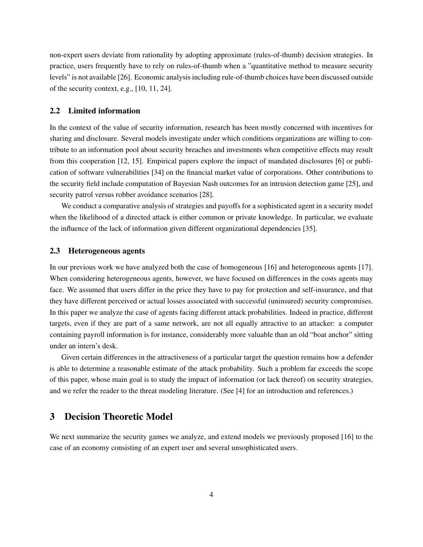non-expert users deviate from rationality by adopting approximate (rules-of-thumb) decision strategies. In practice, users frequently have to rely on rules-of-thumb when a "quantitative method to measure security levels" is not available [26]. Economic analysis including rule-of-thumb choices have been discussed outside of the security context, e.g., [10, 11, 24].

### 2.2 Limited information

In the context of the value of security information, research has been mostly concerned with incentives for sharing and disclosure. Several models investigate under which conditions organizations are willing to contribute to an information pool about security breaches and investments when competitive effects may result from this cooperation [12, 15]. Empirical papers explore the impact of mandated disclosures [6] or publication of software vulnerabilities [34] on the financial market value of corporations. Other contributions to the security field include computation of Bayesian Nash outcomes for an intrusion detection game [25], and security patrol versus robber avoidance scenarios [28].

We conduct a comparative analysis of strategies and payoffs for a sophisticated agent in a security model when the likelihood of a directed attack is either common or private knowledge. In particular, we evaluate the influence of the lack of information given different organizational dependencies [35].

### 2.3 Heterogeneous agents

In our previous work we have analyzed both the case of homogeneous [16] and heterogeneous agents [17]. When considering heterogeneous agents, however, we have focused on differences in the costs agents may face. We assumed that users differ in the price they have to pay for protection and self-insurance, and that they have different perceived or actual losses associated with successful (uninsured) security compromises. In this paper we analyze the case of agents facing different attack probabilities. Indeed in practice, different targets, even if they are part of a same network, are not all equally attractive to an attacker: a computer containing payroll information is for instance, considerably more valuable than an old "boat anchor" sitting under an intern's desk.

Given certain differences in the attractiveness of a particular target the question remains how a defender is able to determine a reasonable estimate of the attack probability. Such a problem far exceeds the scope of this paper, whose main goal is to study the impact of information (or lack thereof) on security strategies, and we refer the reader to the threat modeling literature. (See [4] for an introduction and references.)

## 3 Decision Theoretic Model

We next summarize the security games we analyze, and extend models we previously proposed [16] to the case of an economy consisting of an expert user and several unsophisticated users.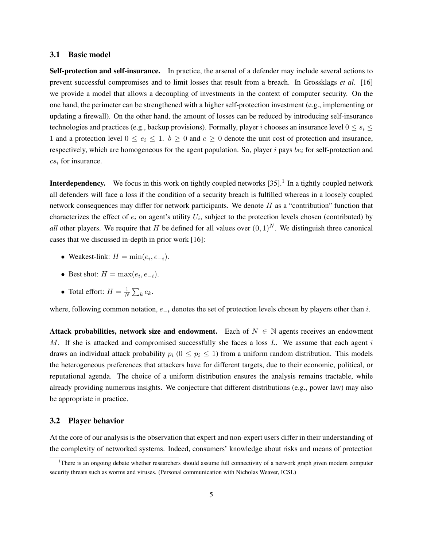#### 3.1 Basic model

Self-protection and self-insurance. In practice, the arsenal of a defender may include several actions to prevent successful compromises and to limit losses that result from a breach. In Grossklags *et al.* [16] we provide a model that allows a decoupling of investments in the context of computer security. On the one hand, the perimeter can be strengthened with a higher self-protection investment (e.g., implementing or updating a firewall). On the other hand, the amount of losses can be reduced by introducing self-insurance technologies and practices (e.g., backup provisions). Formally, player i chooses an insurance level  $0 \le s_i \le$ 1 and a protection level  $0 \le e_i \le 1$ .  $b \ge 0$  and  $c \ge 0$  denote the unit cost of protection and insurance, respectively, which are homogeneous for the agent population. So, player  $i$  pays  $be_i$  for self-protection and  $cs_i$  for insurance.

**Interdependency.** We focus in this work on tightly coupled networks  $[35]$ .<sup>1</sup> In a tightly coupled network all defenders will face a loss if the condition of a security breach is fulfilled whereas in a loosely coupled network consequences may differ for network participants. We denote  $H$  as a "contribution" function that characterizes the effect of  $e_i$  on agent's utility  $U_i$ , subject to the protection levels chosen (contributed) by *all* other players. We require that H be defined for all values over  $(0, 1)^N$ . We distinguish three canonical cases that we discussed in-depth in prior work [16]:

- Weakest-link:  $H = \min(e_i, e_{-i}).$
- Best shot:  $H = \max(e_i, e_{-i}).$
- Total effort:  $H = \frac{1}{N}$  $\frac{1}{N}\sum_k e_k$ .

where, following common notation,  $e_{-i}$  denotes the set of protection levels chosen by players other than i.

Attack probabilities, network size and endowment. Each of  $N \in \mathbb{N}$  agents receives an endowment M. If she is attacked and compromised successfully she faces a loss  $L$ . We assume that each agent i draws an individual attack probability  $p_i$  ( $0 \leq p_i \leq 1$ ) from a uniform random distribution. This models the heterogeneous preferences that attackers have for different targets, due to their economic, political, or reputational agenda. The choice of a uniform distribution ensures the analysis remains tractable, while already providing numerous insights. We conjecture that different distributions (e.g., power law) may also be appropriate in practice.

#### 3.2 Player behavior

At the core of our analysis is the observation that expert and non-expert users differ in their understanding of the complexity of networked systems. Indeed, consumers' knowledge about risks and means of protection

<sup>&</sup>lt;sup>1</sup>There is an ongoing debate whether researchers should assume full connectivity of a network graph given modern computer security threats such as worms and viruses. (Personal communication with Nicholas Weaver, ICSI.)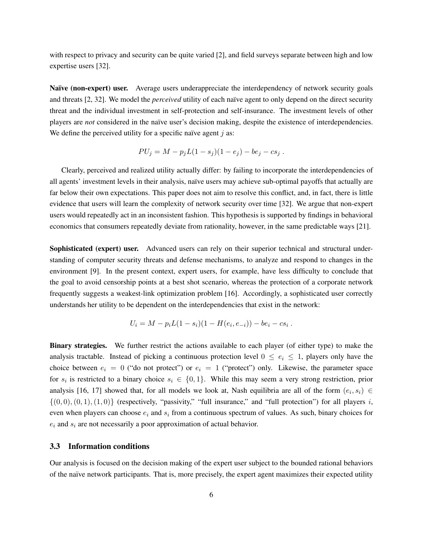with respect to privacy and security can be quite varied [2], and field surveys separate between high and low expertise users [32].

Naïve (non-expert) user. Average users underappreciate the interdependency of network security goals and threats [2, 32]. We model the *perceived* utility of each naïve agent to only depend on the direct security threat and the individual investment in self-protection and self-insurance. The investment levels of other players are *not* considered in the naïve user's decision making, despite the existence of interdependencies. We define the perceived utility for a specific naïve agent  $j$  as:

$$
PU_j = M - p_j L(1 - s_j)(1 - e_j) - be_j - cs_j.
$$

Clearly, perceived and realized utility actually differ: by failing to incorporate the interdependencies of all agents' investment levels in their analysis, naïve users may achieve sub-optimal payoffs that actually are far below their own expectations. This paper does not aim to resolve this conflict, and, in fact, there is little evidence that users will learn the complexity of network security over time [32]. We argue that non-expert users would repeatedly act in an inconsistent fashion. This hypothesis is supported by findings in behavioral economics that consumers repeatedly deviate from rationality, however, in the same predictable ways [21].

Sophisticated (expert) user. Advanced users can rely on their superior technical and structural understanding of computer security threats and defense mechanisms, to analyze and respond to changes in the environment [9]. In the present context, expert users, for example, have less difficulty to conclude that the goal to avoid censorship points at a best shot scenario, whereas the protection of a corporate network frequently suggests a weakest-link optimization problem [16]. Accordingly, a sophisticated user correctly understands her utility to be dependent on the interdependencies that exist in the network:

$$
U_i = M - p_i L(1 - s_i)(1 - H(e_i, e_{-i})) - be_i - cs_i.
$$

Binary strategies. We further restrict the actions available to each player (of either type) to make the analysis tractable. Instead of picking a continuous protection level  $0 \le e_i \le 1$ , players only have the choice between  $e_i = 0$  ("do not protect") or  $e_i = 1$  ("protect") only. Likewise, the parameter space for  $s_i$  is restricted to a binary choice  $s_i \in \{0,1\}$ . While this may seem a very strong restriction, prior analysis [16, 17] showed that, for all models we look at, Nash equilibria are all of the form  $(e_i, s_i) \in$  $\{(0,0), (0,1), (1,0)\}$  (respectively, "passivity," "full insurance," and "full protection") for all players i, even when players can choose  $e_i$  and  $s_i$  from a continuous spectrum of values. As such, binary choices for  $e_i$  and  $s_i$  are not necessarily a poor approximation of actual behavior.

#### 3.3 Information conditions

Our analysis is focused on the decision making of the expert user subject to the bounded rational behaviors of the na¨ıve network participants. That is, more precisely, the expert agent maximizes their expected utility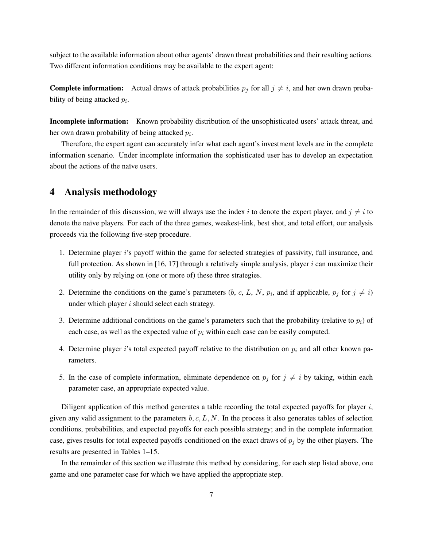subject to the available information about other agents' drawn threat probabilities and their resulting actions. Two different information conditions may be available to the expert agent:

**Complete information:** Actual draws of attack probabilities  $p_j$  for all  $j \neq i$ , and her own drawn probability of being attacked  $p_i$ .

Incomplete information: Known probability distribution of the unsophisticated users' attack threat, and her own drawn probability of being attacked  $p_i$ .

Therefore, the expert agent can accurately infer what each agent's investment levels are in the complete information scenario. Under incomplete information the sophisticated user has to develop an expectation about the actions of the naïve users.

## 4 Analysis methodology

In the remainder of this discussion, we will always use the index i to denote the expert player, and  $j \neq i$  to denote the naïve players. For each of the three games, weakest-link, best shot, and total effort, our analysis proceeds via the following five-step procedure.

- 1. Determine player i's payoff within the game for selected strategies of passivity, full insurance, and full protection. As shown in [16, 17] through a relatively simple analysis, player i can maximize their utility only by relying on (one or more of) these three strategies.
- 2. Determine the conditions on the game's parameters (b, c, L, N,  $p_i$ , and if applicable,  $p_j$  for  $j \neq i$ ) under which player  $i$  should select each strategy.
- 3. Determine additional conditions on the game's parameters such that the probability (relative to  $p_i$ ) of each case, as well as the expected value of  $p_i$  within each case can be easily computed.
- 4. Determine player i's total expected payoff relative to the distribution on  $p_i$  and all other known parameters.
- 5. In the case of complete information, eliminate dependence on  $p_j$  for  $j \neq i$  by taking, within each parameter case, an appropriate expected value.

Diligent application of this method generates a table recording the total expected payoffs for player  $i$ , given any valid assignment to the parameters  $b, c, L, N$ . In the process it also generates tables of selection conditions, probabilities, and expected payoffs for each possible strategy; and in the complete information case, gives results for total expected payoffs conditioned on the exact draws of  $p_j$  by the other players. The results are presented in Tables 1–15.

In the remainder of this section we illustrate this method by considering, for each step listed above, one game and one parameter case for which we have applied the appropriate step.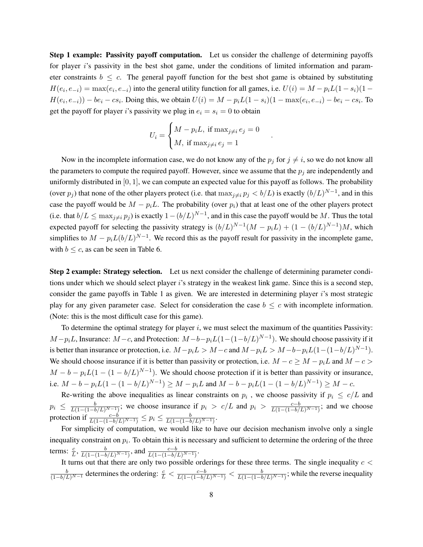Step 1 example: Passivity payoff computation. Let us consider the challenge of determining payoffs for player is passivity in the best shot game, under the conditions of limited information and parameter constraints  $b \leq c$ . The general payoff function for the best shot game is obtained by substituting  $H(e_i, e_{-i}) = \max(e_i, e_{-i})$  into the general utility function for all games, i.e.  $U(i) = M - p_i L(1 - s_i)(1 H(e_i, e_{-i})$ ) –  $be_i - cs_i$ . Doing this, we obtain  $U(i) = M - p_i L(1 - s_i)(1 - \max(e_i, e_{-i}) - be_i - cs_i)$ . To get the payoff for player i's passivity we plug in  $e_i = s_i = 0$  to obtain

$$
U_i = \begin{cases} M - p_i L, \text{ if } \max_{j \neq i} e_j = 0\\ M, \text{ if } \max_{j \neq i} e_j = 1 \end{cases}
$$

.

Now in the incomplete information case, we do not know any of the  $p_j$  for  $j \neq i$ , so we do not know all the parameters to compute the required payoff. However, since we assume that the  $p_i$  are independently and uniformly distributed in  $[0, 1]$ , we can compute an expected value for this payoff as follows. The probability (over  $p_j$ ) that none of the other players protect (i.e. that  $\max_{j\neq i} p_j < b/L$ ) is exactly  $(b/L)^{N-1}$ , and in this case the payoff would be  $M - p_iL$ . The probability (over  $p_i$ ) that at least one of the other players protect (i.e. that  $b/L \le \max_{j \neq i} p_j$ ) is exactly  $1 - (b/L)^{N-1}$ , and in this case the payoff would be M. Thus the total expected payoff for selecting the passivity strategy is  $(b/L)^{N-1}(M-p_iL) + (1-(b/L)^{N-1})M$ , which simplifies to  $M - p_i L (b/L)^{N-1}$ . We record this as the payoff result for passivity in the incomplete game, with  $b \leq c$ , as can be seen in Table 6.

Step 2 example: Strategy selection. Let us next consider the challenge of determining parameter conditions under which we should select player i's strategy in the weakest link game. Since this is a second step, consider the game payoffs in Table 1 as given. We are interested in determining player  $i$ 's most strategic play for any given parameter case. Select for consideration the case  $b \leq c$  with incomplete information. (Note: this is the most difficult case for this game).

To determine the optimal strategy for player  $i$ , we must select the maximum of the quantities Passivity:  $M-p_iL$ , Insurance:  $M-c$ , and Protection:  $M-b-p_iL(1-(1-b/L)^{N-1})$ . We should choose passivity if it is better than insurance or protection, i.e.  $M - p_i L > M - c$  and  $M - p_i L > M - b - p_i L (1 - (1 - b/L)^{N-1})$ . We should choose insurance if it is better than passivity or protection, i.e.  $M - c \geq M - p_i L$  and  $M - c >$  $M - b - p_i L(1 - (1 - b/L)^{N-1})$ . We should choose protection if it is better than passivity or insurance, i.e.  $M - b - p_i L(1 - (1 - b/L)^{N-1}) \ge M - p_i L$  and  $M - b - p_i L(1 - (1 - b/L)^{N-1}) \ge M - c$ .

Re-writing the above inequalities as linear constraints on  $p_i$ , we choose passivity if  $p_i \leq c/L$  and  $p_i \leq \frac{b}{L(1-(1-b/L)^{N-1})}$ ; we choose insurance if  $p_i > c/L$  and  $p_i > \frac{c-b}{L(1-(1-b/L)^{N-1})}$ ; and we choose protection if  $\frac{c-b}{L(1-(1-b/L)^{N-1})} \le p_i \le \frac{b}{L(1-(1-b/L)^{N-1})}$ .

For simplicity of computation, we would like to have our decision mechanism involve only a single inequality constraint on  $p_i$ . To obtain this it is necessary and sufficient to determine the ordering of the three terms:  $\frac{c}{L}$ ,  $\frac{b}{L(1-(1-b/L)^{N-1})}$ , and  $\frac{c-b}{L(1-(1-b/L)^{N-1})}$ .

It turns out that there are only two possible orderings for these three terms. The single inequality  $c <$  $\frac{b}{(1-b/L)^{N-1}}$  determines the ordering:  $\frac{c}{L} < \frac{c-b}{L(1-(1-b/L)^{N-1})} < \frac{b}{L(1-(1-b/L)^{N-1})}$ ; while the reverse inequality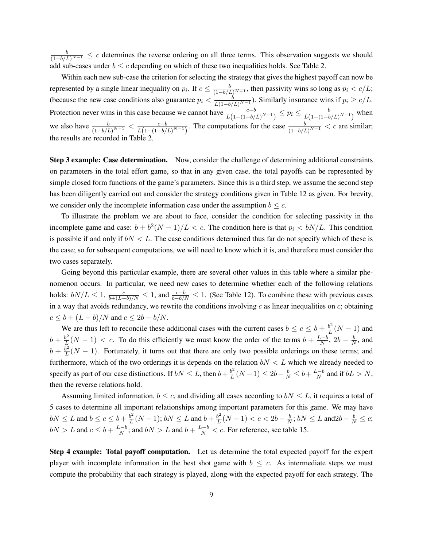$\frac{b}{(1-b/L)^{N-1}} \leq c$  determines the reverse ordering on all three terms. This observation suggests we should add sub-cases under  $b \leq c$  depending on which of these two inequalities holds. See Table 2.

Within each new sub-case the criterion for selecting the strategy that gives the highest payoff can now be represented by a single linear inequality on  $p_i$ . If  $c \leq \frac{b}{(1-b/L)^{N-1}}$ , then passivity wins so long as  $p_i < c/L$ ; (because the new case conditions also guarantee  $p_i < \frac{b}{\sqrt{1 + b}}$  $\frac{b}{L(1-b/L)^{N-1}}$ ). Similarly insurance wins if  $p_i \ge c/L$ . Protection never wins in this case because we cannot have  $\frac{c-b}{L(1-(1-b/L)^{N-1})} \le p_i \le \frac{b}{L(1-(1-b/L)^{N-1})}$  $\frac{b}{L(1-(1-b/L)^{N-1})}$  when we also have  $\frac{b}{(1-b/L)^{N-1}} < \frac{c-b}{L(1-(1-b/L))}$  $\frac{c-b}{L(1-(1-b/L)^{N-1})}$ . The computations for the case  $\frac{b}{(1-b/L)^{N-1}} < c$  are similar; the results are recorded in Table

Step 3 example: Case determination. Now, consider the challenge of determining additional constraints on parameters in the total effort game, so that in any given case, the total payoffs can be represented by simple closed form functions of the game's parameters. Since this is a third step, we assume the second step has been diligently carried out and consider the strategy conditions given in Table 12 as given. For brevity, we consider only the incomplete information case under the assumption  $b \leq c$ .

To illustrate the problem we are about to face, consider the condition for selecting passivity in the incomplete game and case:  $b + b^2(N-1)/L < c$ . The condition here is that  $p_i < bN/L$ . This condition is possible if and only if  $bN < L$ . The case conditions determined thus far do not specify which of these is the case; so for subsequent computations, we will need to know which it is, and therefore must consider the two cases separately.

Going beyond this particular example, there are several other values in this table where a similar phenomenon occurs. In particular, we need new cases to determine whether each of the following relations holds:  $bN/L \le 1$ ,  $\frac{c}{b+(L-b)/N} \le 1$ , and  $\frac{c-b}{b-b/N} \le 1$ . (See Table 12). To combine these with previous cases in a way that avoids redundancy, we rewrite the conditions involving  $c$  as linear inequalities on  $c$ ; obtaining  $c \leq b + (L - b)/N$  and  $c \leq 2b - b/N$ .

We are thus left to reconcile these additional cases with the current cases  $b \le c \le b + \frac{b^2}{L}$  $\frac{b^2}{L}(N-1)$  and  $b + \frac{b^2}{L}$  $\frac{b^2}{L}(N-1) < c$ . To do this efficiently we must know the order of the terms  $b + \frac{L-b}{N}$  $\frac{b-b}{N}$ , 2b –  $\frac{b}{N}$  $\frac{b}{N}$ , and  $b + \frac{b^2}{L}$  $\frac{b^2}{L}(N-1)$ . Fortunately, it turns out that there are only two possible orderings on these terms; and furthermore, which of the two orderings it is depends on the relation  $bN < L$  which we already needed to specify as part of our case distinctions. If  $bN \leq L$ , then  $b + \frac{b^2}{L}$  $\frac{b^2}{L}(N-1) \leq 2b - \frac{b}{N} \leq b + \frac{L-b}{N}$  $\frac{N}{N}$  and if  $bL > N$ , then the reverse relations hold.

Assuming limited information,  $b \leq c$ , and dividing all cases according to  $bN \leq L$ , it requires a total of 5 cases to determine all important relationships among important parameters for this game. We may have  $bN \leq L$  and  $b \leq c \leq b + \frac{b^2}{L}$  $\frac{b^2}{L}(N-1)$ ;  $bN \leq L$  and  $b + \frac{b^2}{L}$  $\frac{b^2}{L}(N-1) < c < 2b - \frac{b}{N}$  $\frac{b}{N}$ ;  $bN \le L$  and  $2b - \frac{b}{N} \le c$ ;  $bN > L$  and  $c \leq b + \frac{L-b}{N}$  $\frac{L-b}{N}$ ; and  $bN > L$  and  $b + \frac{L-b}{N} < c$ . For reference, see table 15.

Step 4 example: Total payoff computation. Let us determine the total expected payoff for the expert player with incomplete information in the best shot game with  $b \leq c$ . As intermediate steps we must compute the probability that each strategy is played, along with the expected payoff for each strategy. The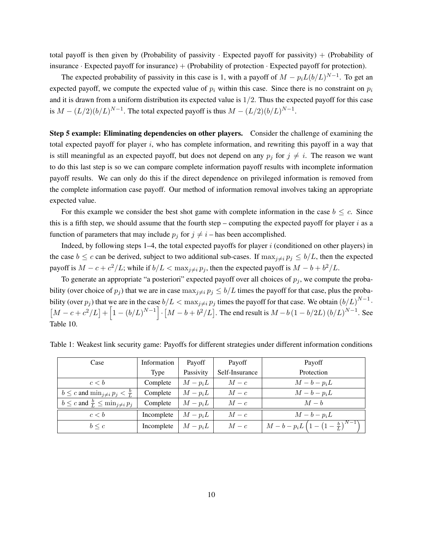total payoff is then given by (Probability of passivity  $\cdot$  Expected payoff for passivity) + (Probability of insurance  $\cdot$  Expected payoff for insurance) + (Probability of protection  $\cdot$  Expected payoff for protection).

The expected probability of passivity in this case is 1, with a payoff of  $M - p_i L (b/L)^{N-1}$ . To get an expected payoff, we compute the expected value of  $p_i$  within this case. Since there is no constraint on  $p_i$ and it is drawn from a uniform distribution its expected value is  $1/2$ . Thus the expected payoff for this case is  $M - (L/2)(b/L)^{N-1}$ . The total expected payoff is thus  $M - (L/2)(b/L)^{N-1}$ .

Step 5 example: Eliminating dependencies on other players. Consider the challenge of examining the total expected payoff for player  $i$ , who has complete information, and rewriting this payoff in a way that is still meaningful as an expected payoff, but does not depend on any  $p_i$  for  $j \neq i$ . The reason we want to do this last step is so we can compare complete information payoff results with incomplete information payoff results. We can only do this if the direct dependence on privileged information is removed from the complete information case payoff. Our method of information removal involves taking an appropriate expected value.

For this example we consider the best shot game with complete information in the case  $b \leq c$ . Since this is a fifth step, we should assume that the fourth step – computing the expected payoff for player i as a function of parameters that may include  $p_j$  for  $j \neq i$  – has been accomplished.

Indeed, by following steps  $1-4$ , the total expected payoffs for player  $i$  (conditioned on other players) in the case  $b \leq c$  can be derived, subject to two additional sub-cases. If  $\max_{i \neq i} p_i \leq b/L$ , then the expected payoff is  $M - c + c^2/L$ ; while if  $b/L < \max_{j \neq i} p_j$ , then the expected payoff is  $M - b + b^2/L$ .

To generate an appropriate "a posteriori" expected payoff over all choices of  $p_j$ , we compute the probability (over choice of  $p_j$ ) that we are in case  $\max_{j\neq i} p_j \leq b/L$  times the payoff for that case, plus the probability (over  $p_j$ ) that we are in the case  $b/L < \max_{j \neq i} p_j$  times the payoff for that case. We obtain  $(b/L)^{N-1}$ .  $[M - c + c^2/L] + [1 - (b/L)^{N-1}] \cdot [M - b + b^2/L]$ . The end result is  $M - b (1 - b/2L) (b/L)^{N-1}$ . See Table 10.

| Case                                                  | Information | Payoff    | Payoff         | Payoff                                                              |
|-------------------------------------------------------|-------------|-----------|----------------|---------------------------------------------------------------------|
|                                                       | Type        | Passivity | Self-Insurance | Protection                                                          |
| c < b                                                 | Complete    | $M-p_iL$  | $M-c$          | $M-b-p_iL$                                                          |
| $b \leq c$ and $\min_{j \neq i} p_j < \frac{b}{L}$    | Complete    | $M-p_iL$  | $M-c$          | $M-b-p_iL$                                                          |
| $b \leq c$ and $\frac{b}{L} \leq \min_{j \neq i} p_j$ | Complete    | $M-p_iL$  | $M-c$          | $M-b$                                                               |
| c < b                                                 | Incomplete  | $M-p_iL$  | $M-c$          | $M-b-p_iL$                                                          |
| $b \leq c$                                            | Incomplete  | $M-p_iL$  | $M-c$          | $M - b - p_i L \left(1 - \left(1 - \frac{b}{r}\right)^{N-1}\right)$ |

Table 1: Weakest link security game: Payoffs for different strategies under different information conditions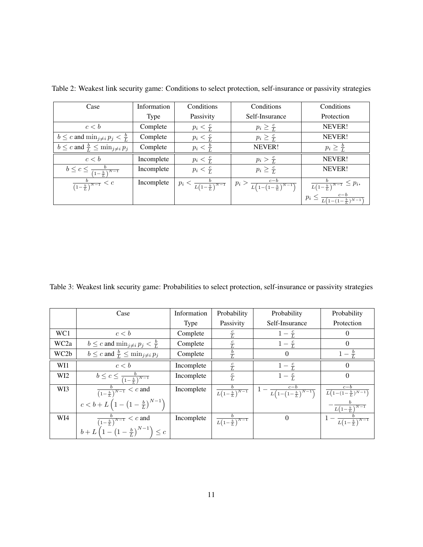| Case                                                  | Information | Conditions                               | Conditions                                     | Conditions                                        |
|-------------------------------------------------------|-------------|------------------------------------------|------------------------------------------------|---------------------------------------------------|
|                                                       | Type        | Passivity                                | Self-Insurance                                 | Protection                                        |
| c < b                                                 | Complete    | $p_i < \frac{c}{L}$                      | $p_i \geq \frac{c}{L}$                         | NEVER!                                            |
| $b \leq c$ and $\min_{j \neq i} p_j < \frac{b}{L}$    | Complete    | $p_i < \frac{c}{L}$                      | $p_i \geq \frac{c}{L}$                         | NEVER!                                            |
| $b \leq c$ and $\frac{b}{L} \leq \min_{j \neq i} p_j$ | Complete    | $p_i < \frac{b}{L}$                      | NEVER!                                         | $p_i \geq \frac{b}{L}$                            |
| c < b                                                 | Incomplete  | $p_i < \frac{c}{L}$                      | $p_i > \frac{c}{L}$                            | NEVER!                                            |
| $b \leq c \leq \frac{b}{(1-\frac{b}{l})^{N-1}}$       | Incomplete  | $p_i < \frac{c}{L}$                      | $p_i \geq \frac{c}{L}$                         | NEVER!                                            |
| $\frac{b}{(1-\frac{b}{L})^{N-1}} < c$                 | Incomplete  | $p_i < \frac{b}{L(1-\frac{b}{L})^{N-1}}$ | $p_i > \frac{c-b}{L(1-(1-\frac{b}{L})^{N-1})}$ | $\frac{d}{L(1-\frac{b}{L})^{N-1}} \leq p_i,$      |
|                                                       |             |                                          |                                                | $p_i \leq \frac{c-b}{L(1-(1-\frac{b}{L})^{N-1})}$ |

Table 2: Weakest link security game: Conditions to select protection, self-insurance or passivity strategies

Table 3: Weakest link security game: Probabilities to select protection, self-insurance or passivity strategies

|                  | Case                                                               | Information | Probability                        | Probability                                  | Probability                                                                   |
|------------------|--------------------------------------------------------------------|-------------|------------------------------------|----------------------------------------------|-------------------------------------------------------------------------------|
|                  |                                                                    | Type        | Passivity                          | Self-Insurance                               | Protection                                                                    |
| WC1              | c < b                                                              | Complete    | $rac{c}{L}$                        | $1-\frac{c}{L}$                              | $\Omega$                                                                      |
| WC <sub>2a</sub> | $b \leq c$ and $\min_{j \neq i} p_j < \frac{b}{L}$                 | Complete    | $\frac{c}{L}$                      | $1-\frac{c}{L}$                              | $\Omega$                                                                      |
| WC2b             | $b \leq c$ and $\frac{b}{L} \leq \min_{j \neq i} p_j$              |             |                                    | $\Omega$                                     |                                                                               |
| WI1              | c < b                                                              | Incomplete  | $\frac{c}{L}$                      | $1-\frac{c}{L}$                              | $\Omega$                                                                      |
| WI <sub>2</sub>  | $b \leq c \leq \frac{b}{(1-\frac{b}{a})^{N-1}}$                    | Incomplete  | $\frac{c}{L}$                      | $1-\frac{c}{L}$                              | $\Omega$                                                                      |
| WI3              | $\frac{b}{(1-\frac{b}{L})^{N-1}} < c$ and                          | Incomplete  | $\frac{b}{L(1-\frac{b}{L})^{N-1}}$ | $1 - \frac{c-b}{L(1-(1-\frac{b}{L})^{N-1})}$ | $\frac{c-\overline{b}}{L\left(1-(1-\frac{b}{L})^{N-1}\right)}$                |
|                  | $c < b + L \left(1 - \left(1 - \frac{b}{L}\right)^{N-1}\right)$    |             |                                    |                                              | $\frac{L\left(1-\frac{b}{L}\right)^{N-1}}{L\left(1-\frac{b}{L}\right)^{N-1}}$ |
| WI4              | $\frac{b}{\left(1-\frac{b}{L}\right)^{N-1}} < c$ and               | Incomplete  | $\frac{b}{L(1-\frac{b}{L})^{N-1}}$ | $\Omega$                                     | $1-\frac{b}{L(1-\frac{b}{L})^{N-1}}$                                          |
|                  | $b + L \left(1 - \left(1 - \frac{b}{L}\right)^{N-1}\right) \leq c$ |             |                                    |                                              |                                                                               |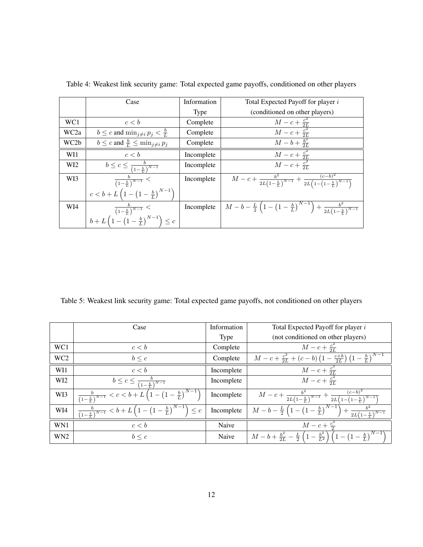|                   | Case                                                              | Information | Total Expected Payoff for player i                                                                                      |
|-------------------|-------------------------------------------------------------------|-------------|-------------------------------------------------------------------------------------------------------------------------|
|                   |                                                                   | Type        | (conditioned on other players)                                                                                          |
| WC1               | c < b                                                             | Complete    |                                                                                                                         |
| WC <sub>2</sub> a | $b \leq c$ and $\min_{j \neq i} p_j < \frac{b}{L}$                | Complete    |                                                                                                                         |
| WC <sub>2</sub> b | $b \leq c$ and $\frac{b}{L} \leq \min_{j \neq i} p_j$             | Complete    | $\frac{M-c+\frac{c^2}{2L}}{M-c+\frac{c^2}{2L}}$<br>$M-b+\frac{b^2}{2L}$                                                 |
| WI1               | c < b                                                             | Incomplete  | $\frac{M-c+\frac{c^2}{2L}}{M-c+\frac{c^2}{2L}}$                                                                         |
| WI <sub>2</sub>   | $b \leq c \leq \frac{b}{(1-\frac{b}{x})^{N-1}}$                   | Incomplete  |                                                                                                                         |
| WI3               | $\frac{b}{(1-\frac{b}{L})^{N-1}}$ <                               | Incomplete  | $M-c+\frac{b^2}{2L(1-\frac{b}{L})^{N-1}}+\frac{(c-b)^2}{2L(1-(1-\frac{b}{L})^{N-1})}$                                   |
|                   | $c < b + L \left(1 - \left(1 - \frac{b}{L}\right)^{N-1}\right)$   |             |                                                                                                                         |
| WI4               | $\frac{b}{\left(1-\frac{b}{L}\right)^{N-1}}$ <                    | Incomplete  | $\boxed{M-b-\frac{L}{2}\left(1-\left(1-\frac{b}{L}\right)^{N-1}\right)+\frac{b^2}{2L\left(1-\frac{b}{L}\right)^{N-1}}}$ |
|                   | $b + L\left(1 - \left(1 - \frac{b}{L}\right)^{N-1}\right) \leq c$ |             |                                                                                                                         |

Table 4: Weakest link security game: Total expected game payoffs, conditioned on other players

Table 5: Weakest link security game: Total expected game payoffs, not conditioned on other players

|                 | Case                                                                                              | Information | Total Expected Payoff for player i                                                                                      |
|-----------------|---------------------------------------------------------------------------------------------------|-------------|-------------------------------------------------------------------------------------------------------------------------|
|                 |                                                                                                   | Type        | (not conditioned on other players)                                                                                      |
| WC1             | c < b                                                                                             | Complete    | $M - c + \frac{c^2}{2L}$                                                                                                |
| WC <sub>2</sub> | $b \leq c$                                                                                        | Complete    | $M - c + \frac{c^2}{2L} + (c - b) \left(1 - \frac{c+b}{2L}\right) \left(1 - \frac{b}{L}\right)^{N-1}$                   |
| WI1             | c < b                                                                                             | Incomplete  | $M-c+\frac{c^2}{2L}$                                                                                                    |
| WI <sub>2</sub> | $b \leq c \leq \frac{b}{(1-\frac{b}{L})^{N-1}}$                                                   | Incomplete  | $M - c + \frac{c^2}{2L}$                                                                                                |
| WI3             | $\frac{b}{(1-\frac{b}{L})^{N-1}} < c < b + L\left(1-\left(1-\frac{b}{L}\right)^{N-1}\right)$      | Incomplete  | $M-c+\frac{b^2}{2L(1-\frac{b}{L})^{N-1}}+\frac{(c-b)^2}{2L(1-(1-\frac{b}{L})^{N-1})}$                                   |
| WI4             | $\frac{b}{(1-\frac{b}{L})^{N-1}} < b + L\left(1 - \left(1-\frac{b}{L}\right)^{N-1}\right) \leq c$ | Incomplete  | $\boxed{M-b-\frac{L}{2}\left(1-\left(1-\frac{b}{L}\right)^{N-1}\right)+\frac{b^2}{2L\left(1-\frac{b}{L}\right)^{N-1}}}$ |
| WN1             | c < b                                                                                             | Naive       | $M - c + \frac{c^2}{2}$                                                                                                 |
| WN <sub>2</sub> | $b \leq c$                                                                                        | Naive       | $M-b+\frac{b^2}{2L}-\frac{L}{2}\left(1-\frac{b^2}{L^2}\right)\left(1-\left(1-\frac{b}{L}\right)^{N-1}\right)$           |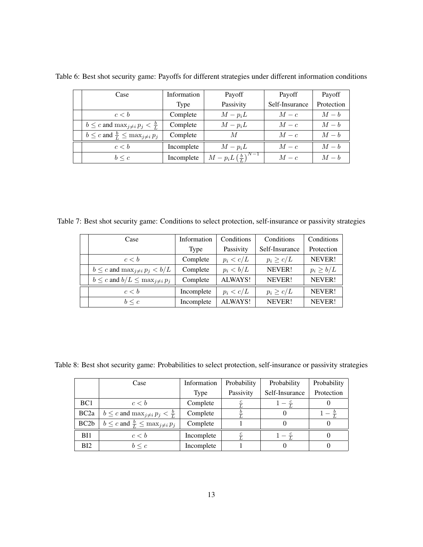| Case                                                  | Information | Payoff                                    | Payoff         | Payoff     |
|-------------------------------------------------------|-------------|-------------------------------------------|----------------|------------|
|                                                       | Type        | Passivity                                 | Self-Insurance | Protection |
| c < b                                                 | Complete    | $M-p_iL$                                  | $M-c$          | $M-b$      |
| $b \leq c$ and $\max_{i \neq i} p_i < \frac{b}{L}$    | Complete    | $M-p_iL$                                  | $M-c$          | $M-b$      |
| $b \leq c$ and $\frac{b}{L} \leq \max_{j \neq i} p_j$ | Complete    | M                                         | $M-c$          | $M-b$      |
| c < b                                                 | Incomplete  | $M-p_iL$                                  | $M-c$          | $M-b$      |
| $b \leq c$                                            | Incomplete  | $M-p_iL\left(\frac{b}{\tau}\right)^{N-1}$ | $M-c$          | $M-b$      |

Table 6: Best shot security game: Payoffs for different strategies under different information conditions

Table 7: Best shot security game: Conditions to select protection, self-insurance or passivity strategies

| Case                                          | Information | Conditions  | Conditions     | Conditions    |
|-----------------------------------------------|-------------|-------------|----------------|---------------|
|                                               | Type        | Passivity   | Self-Insurance | Protection    |
| c < b                                         | Complete    | $p_i < c/L$ | $p_i \geq c/L$ | NEVER!        |
| $b \leq c$ and $\max_{j \neq i} p_j < b/L$    | Complete    | $p_i < b/L$ | NEVER!         | $p_i \ge b/L$ |
| $b \leq c$ and $b/L \leq \max_{j \neq i} p_j$ | Complete    | ALWAYS!     | NEVER!         | NEVER!        |
| c < b                                         | Incomplete  | $p_i < c/L$ | $p_i \geq c/L$ | NEVER!        |
| $b \leq c$                                    | Incomplete  | ALWAYS!     | NEVER!         | NEVER!        |

Table 8: Best shot security game: Probabilities to select protection, self-insurance or passivity strategies

|                   | Case                                                  | Information | Probability | Probability    | Probability |
|-------------------|-------------------------------------------------------|-------------|-------------|----------------|-------------|
|                   |                                                       | Type        | Passivity   | Self-Insurance | Protection  |
| BC <sub>1</sub>   | c < b                                                 | Complete    |             |                |             |
| BC <sub>2a</sub>  | $b \leq c$ and $\max_{i \neq i} p_i < \frac{b}{L}$    | Complete    |             |                |             |
| BC <sub>2</sub> b | $b \leq c$ and $\frac{b}{L} \leq \max_{j \neq i} p_j$ | Complete    |             |                |             |
| BI1               | c < b                                                 | Incomplete  |             |                |             |
| BI2               | $b \leq c$                                            | Incomplete  |             |                |             |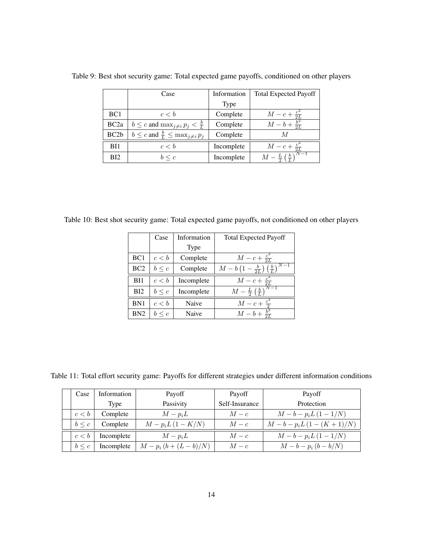|                   | Case                                                  | Information | <b>Total Expected Payoff</b> |
|-------------------|-------------------------------------------------------|-------------|------------------------------|
|                   |                                                       | <b>Type</b> |                              |
| BC <sub>1</sub>   | c < b                                                 | Complete    | $M-c+\frac{c^2}{2L}$         |
| BC <sub>2a</sub>  | $b \leq c$ and $\max_{j \neq i} p_j < \frac{b}{L}$    | Complete    | $M-b+\frac{b^2}{2I}$         |
| BC <sub>2</sub> b | $b \leq c$ and $\frac{b}{L} \leq \max_{j \neq i} p_j$ | Complete    | M                            |
| BI1               | c < b                                                 | Incomplete  | $M - c + \frac{c^2}{2L}$     |
| BI <sub>2</sub>   | $b \leq c$                                            | Incomplete  | $M-\frac{L}{2}(\frac{b}{l})$ |

Table 9: Best shot security game: Total expected game payoffs, conditioned on other players

Table 10: Best shot security game: Total expected game payoffs, not conditioned on other players

|                 | Case       | Information | <b>Total Expected Payoff</b>                                          |  |
|-----------------|------------|-------------|-----------------------------------------------------------------------|--|
|                 |            | Type        |                                                                       |  |
| BC <sub>1</sub> | c < b      | Complete    | $M - c + \frac{c^2}{2L}$                                              |  |
| BC2             | $b \leq c$ | Complete    | $N\!-\!1$<br>$M-b\left(1-\frac{b}{2L}\right)\left(\frac{b}{L}\right)$ |  |
| BI1             | c < b      | Incomplete  | $M - c + \frac{c^2}{2L}$                                              |  |
| BI2             | $b \leq c$ | Incomplete  | $M-\frac{L}{2}\left(\frac{b}{L}\right)^{N-1}$                         |  |
| BN <sub>1</sub> | c < b      | Naive       | $M - c + \frac{c^2}{2}$                                               |  |
| BN2             | $b \leq c$ | Naive       | $M - b + \frac{b^2}{2L}$                                              |  |

Table 11: Total effort security game: Payoffs for different strategies under different information conditions

| Case       | Information | Payoff                    | Payoff         | Payoff                  |
|------------|-------------|---------------------------|----------------|-------------------------|
|            | Type        | Passivity                 | Self-Insurance | Protection              |
| c < b      | Complete    | $M-p_iL$                  | $M-c$          | $M-b-p_iL(1-1/N)$       |
| $b \leq c$ | Complete    | $M - p_i L (1 - K/N)$     | $M-c$          | $M-b-p_iL(1-(K+1)/N)$   |
| c < b      | Incomplete  | $M-p_iL$                  | $M-c$          | $M-b-p_iL(1-1/N)$       |
| $b \leq c$ | Incomplete  | $M - p_i (b + (L - b)/N)$ | $M - c$        | $M - b - p_i (b - b/N)$ |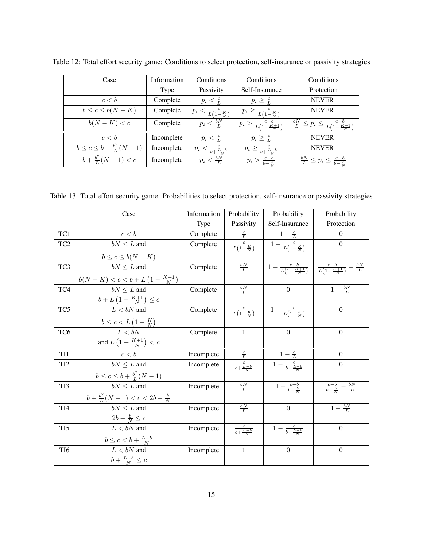| Case                                   | <b>Information</b> | Conditions                          | Conditions                             | Conditions                                                  |
|----------------------------------------|--------------------|-------------------------------------|----------------------------------------|-------------------------------------------------------------|
|                                        | Type               | Passivity                           | Self-Insurance                         | Protection                                                  |
| c < b                                  | Complete           | $p_i < \frac{c}{L}$                 | $p_i \geq \frac{c}{L}$                 | NEVER!                                                      |
| $b \leq c \leq b(N-K)$                 | Complete           | $p_i < \frac{c}{L(1-\frac{K}{N})}$  | $p_i \geq \frac{c}{L(1-\frac{K}{N})}$  | NEVER!                                                      |
| $b(N-K) < c$                           | Complete           | $p_i < \frac{bN}{l}$                | $p_i > \frac{c-b}{L(1-\frac{K+1}{N})}$ | $\frac{bN}{L} \leq p_i \leq \frac{c-b}{L(1-\frac{K+1}{N})}$ |
| c < b                                  | Incomplete         | $p_i < \frac{c}{L}$                 | $p_i \geq \frac{c}{L}$                 | NEVER!                                                      |
| $b \leq c \leq b + \frac{b^2}{L}(N-1)$ | Incomplete         | $p_i < \frac{c}{b + \frac{L-b}{N}}$ | $p_i \geq \frac{c}{b + \frac{L-b}{N}}$ | NEVER!                                                      |
| $b + \frac{b^2}{L}(N-1) < c$           | Incomplete         | $p_i < \frac{bN}{l}$                | $p_i > \frac{c-b}{b-b}$                | $\frac{bN}{L} \leq p_i \leq \frac{c-b}{b-\frac{b}{c}}$      |

Table 12: Total effort security game: Conditions to select protection, self-insurance or passivity strategies

Table 13: Total effort security game: Probabilities to select protection, self-insurance or passivity strategies

|                 | Case                                                  | Information | Probability                | Probability                                                 | Probability                                   |
|-----------------|-------------------------------------------------------|-------------|----------------------------|-------------------------------------------------------------|-----------------------------------------------|
|                 |                                                       | <b>Type</b> | Passivity                  | Self-Insurance                                              | Protection                                    |
| TC1             | c < b                                                 | Complete    |                            | $1-\frac{c}{L}$                                             | $\left($                                      |
| TC <sub>2</sub> | $bN \leq L$ and                                       | Complete    | $rac{c}{L(1-\frac{K}{N})}$ | $\left  1 - \frac{c}{L(1-\frac{K}{N})} \right $             | $\Omega$                                      |
|                 | $b \leq c \leq b(N-K)$                                |             |                            |                                                             |                                               |
| TC3             | $bN \leq L$ and                                       | Complete    | $rac{bN}{L}$               | $\frac{c-b}{1-\frac{c-b}{L(1-\frac{K+1}{N})}}$              | $\frac{c-b}{L(1-\frac{K+1}{N})}-\frac{bN}{L}$ |
|                 | $b(N - K) < c < b + L \left(1 - \frac{K+1}{N}\right)$ |             |                            |                                                             |                                               |
| TC4             | $bN \leq L$ and                                       | Complete    | $rac{bN}{L}$               | $\mathbf{0}$                                                | $1-\frac{bN}{l}$                              |
|                 | $b + L \left( 1 - \frac{K+1}{N} \right) \leq c$       |             |                            |                                                             |                                               |
| TC5             | $L < bN$ and                                          | Complete    |                            | $\frac{c}{L(1-\frac{K}{N})}$ $1-\frac{c}{L(1-\frac{K}{N})}$ | $\overline{0}$                                |
|                 | $b \leq c < L\left(1-\frac{K}{N}\right)$              |             |                            |                                                             |                                               |
| TC <sub>6</sub> | L < hN                                                | Complete    | $\mathbf{1}$               | $\Omega$                                                    | $\boldsymbol{0}$                              |
|                 | and $L\left(1 - \frac{K+1}{N}\right) < c$             |             |                            |                                                             |                                               |
| TI <sub>1</sub> | c < b                                                 | Incomplete  | $\frac{c}{L}$              | $1-\frac{c}{L}$                                             | $\theta$                                      |
| TI <sub>2</sub> | $bN \leq L$ and                                       | Incomplete  | $rac{c}{b+\frac{L-b}{N}}$  | $1 - \frac{c}{b + \frac{L - b}{N}}$                         | $\Omega$                                      |
|                 | $b \leq c \leq b + \frac{b^2}{I}(N-1)$                |             |                            |                                                             |                                               |
| TI3             | $bN \leq L$ and                                       | Incomplete  | $rac{bN}{L}$               | $1 - \frac{c-b}{b-\frac{b}{2}}$                             | $\frac{c-b}{b-\frac{b}{N}}-\frac{bN}{L}$      |
|                 | $b + \frac{b^2}{L}(N-1) < c < 2b - \frac{b}{N}$       |             |                            |                                                             |                                               |
| TI <sub>4</sub> | $bN \leq L$ and                                       | Incomplete  | $\frac{bN}{L}$             | $\overline{0}$                                              | $1-\frac{bN}{L}$                              |
|                 | $2b - \frac{b}{N} \leq c$                             |             |                            |                                                             |                                               |
| TI <sub>5</sub> | $L < bN$ and                                          | Incomplete  | $rac{c}{b+\frac{L-b}{N}}$  | $1 - \frac{c}{b + \frac{L - b}{v}}$                         | $\boldsymbol{0}$                              |
|                 | $b \leq c < b + \frac{L-b}{N}$                        |             |                            |                                                             |                                               |
| TI <sub>6</sub> | $L < bN$ and                                          | Incomplete  | $\mathbf{1}$               | $\Omega$                                                    | $\overline{0}$                                |
|                 | $b+\frac{L-b}{N}\leq c$                               |             |                            |                                                             |                                               |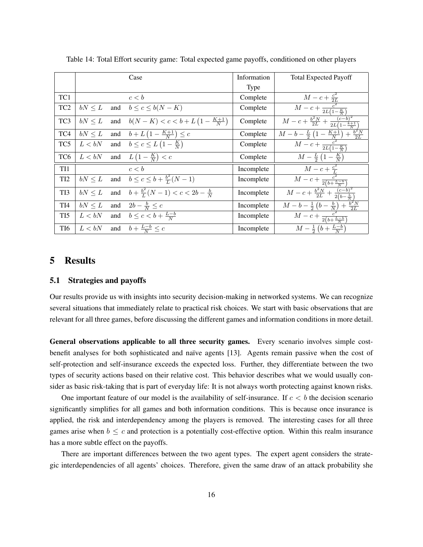|                 |             |     | Case                                                      | Information | <b>Total Expected Payoff</b>                                                                                             |
|-----------------|-------------|-----|-----------------------------------------------------------|-------------|--------------------------------------------------------------------------------------------------------------------------|
|                 |             |     |                                                           | <b>Type</b> |                                                                                                                          |
| TC1             |             |     | c < b                                                     | Complete    | $M-c+\frac{c^2}{2L}$                                                                                                     |
| TC <sub>2</sub> | $bN \leq L$ | and | $b \leq c \leq b(N-K)$                                    | Complete    | $\frac{c^2}{M-c+\frac{c^2}{2L(1-\frac{K}{N})}}$                                                                          |
| TC <sub>3</sub> | $bN \leq L$ |     | and $b(N - K) < c < b + L \left(1 - \frac{K+1}{N}\right)$ | Complete    | $M-c+\frac{b^2N}{2L}+\frac{(c-b)^2}{2L(1-\frac{k+1}{N})}$                                                                |
| TC4             | $bN \leq L$ |     | and $b + L (1 - \frac{K+1}{N}) \leq c$                    | Complete    | $\frac{M-b-\frac{L}{2}\left(1-\frac{K+1}{N}\right)+\frac{b^2N}{2L}}{2}$                                                  |
| TC5             | $L < bN$    |     | and $b \leq c \leq L\left(1 - \frac{K}{N}\right)$         | Complete    | $\overline{M-c+\frac{c^2}{2L(1-\frac{K}{N})}}$                                                                           |
| TC <sub>6</sub> | L < bN      |     | and $L\left(1-\frac{K}{N}\right) < c$                     | Complete    | $M-\frac{L}{2}\left(1-\frac{K}{N}\right)$                                                                                |
| TI1             |             |     | c < b                                                     | Incomplete  |                                                                                                                          |
| TI <sub>2</sub> | $bN \leq L$ |     | and $b \le c \le b + \frac{b^2}{L}(N-1)$                  | Incomplete  | $\frac{M-c+\frac{c^2}{L}}{M-c+\frac{c^2}{2(b+\frac{L-b}{N})}}$                                                           |
| TI3             | $bN \leq L$ |     | and $b + \frac{b^2}{I}(N-1) < c < 2b - \frac{b}{N}$       | Incomplete  | $M-c+\frac{b^2N}{2L}+\frac{(c-b)^2}{2(b-\frac{b}{N})}$                                                                   |
| TI <sub>4</sub> | $bN \leq L$ |     | and $2b - \frac{b}{N} \leq c$                             | Incomplete  |                                                                                                                          |
| TI <sub>5</sub> |             |     | $L < bN$ and $b \leq c < b + \frac{L-b}{N}$               | Incomplete  | $\frac{M - b - \frac{1}{2} \left(b - \frac{b}{N}\right) + \frac{b^2 N}{2L}}{M - c + \frac{c^2}{2(b + \frac{L - b}{N})}}$ |
| TI <sub>6</sub> | L < bN      |     | and $b + \frac{L-b}{N} \leq c$                            | Incomplete  | $M - \frac{1}{2} (b + \frac{L-b}{N})$                                                                                    |

Table 14: Total Effort security game: Total expected game payoffs, conditioned on other players

## 5 Results

#### 5.1 Strategies and payoffs

Our results provide us with insights into security decision-making in networked systems. We can recognize several situations that immediately relate to practical risk choices. We start with basic observations that are relevant for all three games, before discussing the different games and information conditions in more detail.

General observations applicable to all three security games. Every scenario involves simple costbenefit analyses for both sophisticated and naïve agents [13]. Agents remain passive when the cost of self-protection and self-insurance exceeds the expected loss. Further, they differentiate between the two types of security actions based on their relative cost. This behavior describes what we would usually consider as basic risk-taking that is part of everyday life: It is not always worth protecting against known risks.

One important feature of our model is the availability of self-insurance. If  $c < b$  the decision scenario significantly simplifies for all games and both information conditions. This is because once insurance is applied, the risk and interdependency among the players is removed. The interesting cases for all three games arise when  $b \leq c$  and protection is a potentially cost-effective option. Within this realm insurance has a more subtle effect on the payoffs.

There are important differences between the two agent types. The expert agent considers the strategic interdependencies of all agents' choices. Therefore, given the same draw of an attack probability she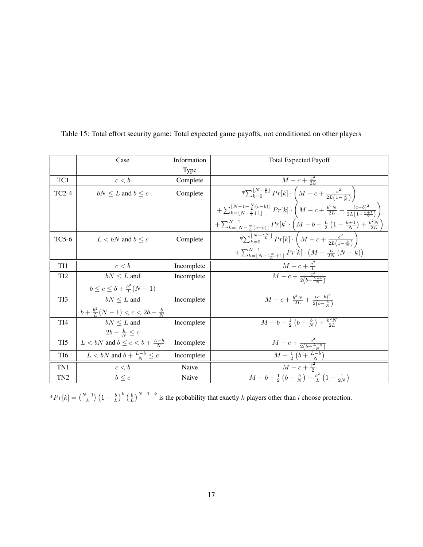|                 | Case                                            | Information | <b>Total Expected Payoff</b>                                                                                                                                     |
|-----------------|-------------------------------------------------|-------------|------------------------------------------------------------------------------------------------------------------------------------------------------------------|
|                 |                                                 | <b>Type</b> |                                                                                                                                                                  |
| TC1             | c < b                                           | Complete    | $M - c + \frac{c^2}{2I}$                                                                                                                                         |
| $TC2-4$         | $bN \leq L$ and $b \leq c$                      | Complete    | $*\sum_{k=0}^{\lfloor N-\frac{c}{b} \rfloor} Pr[k] \cdot \left( M - c + \frac{c^2}{2L(1-\frac{k}{N})} \right)$                                                   |
|                 |                                                 |             | $+\sum_{k=\lfloor N-\frac{c}{b}+1\rfloor}^{\lfloor N-1-\frac{N}{L}(c-b)\rfloor}Pr[k]\cdot \left( M-c+\frac{b^2N}{2L}+\frac{(c-b)^2}{2L(1-\frac{k+1}{N})}\right)$ |
|                 |                                                 |             | $+\sum_{k=\lfloor N-\frac{N}{L}(c-b)\rfloor}^{N-1} Pr[k] \cdot \left(M-b-\frac{L}{2}\left(1-\frac{k+1}{N}\right)+\frac{b^2N}{2L}\right)$                         |
| $TC5-6$         | $L < bN$ and $b < c$                            | Complete    | * $\sum_{k=0}^{\lfloor N-\frac{cN}{L} \rfloor} Pr[k] \cdot \left( M - c + \frac{c^2}{2L(1-\frac{k}{N})} \right)$                                                 |
|                 |                                                 |             | $+\sum_{k=\lfloor N-\frac{cN}{L}+1\rfloor}^{N-1}Pr[k]\cdot \left( M-\frac{L}{2N}\left( N-k\right) \right)$                                                       |
| TI1             | c < b                                           | Incomplete  |                                                                                                                                                                  |
| TI <sub>2</sub> | $bN \leq L$ and                                 | Incomplete  | $\frac{M-c+\frac{c^2}{L}}{M-c+\frac{c^2}{2(b+\frac{L-b}{N})}}$                                                                                                   |
|                 | $b \leq c \leq b + \frac{b^2}{I}(N-1)$          |             |                                                                                                                                                                  |
| TI3             | $bN \leq L$ and                                 | Incomplete  | $M-c+\frac{b^2N}{2L}+\frac{(c-b)^2}{2(b-\frac{b}{a})}$                                                                                                           |
|                 | $b + \frac{b^2}{I}(N-1) < c < 2b - \frac{b}{N}$ |             |                                                                                                                                                                  |
| TI <sub>4</sub> | $bN \leq L$ and                                 | Incomplete  | $M-b-\frac{1}{2}(b-\frac{b}{N})+\frac{b^2N}{2L}$                                                                                                                 |
|                 | $2b - \frac{b}{N} \leq c$                       |             |                                                                                                                                                                  |
| TI <sub>5</sub> | $L < bN$ and $b \leq c < b + \frac{L-b}{N}$     | Incomplete  | $\overline{M-c} + \frac{c^2}{2(b+\frac{L-b}{N})}$                                                                                                                |
| TI <sub>6</sub> | $L < bN$ and $b + \frac{L-b}{N} \leq c$         | Incomplete  | $M - \frac{1}{2} (b + \frac{L-b}{N})$                                                                                                                            |
| TN1             | c < b                                           | Naive       | $M - c + \frac{c^2}{2}$                                                                                                                                          |
| TN <sub>2</sub> | $b \leq c$                                      | Naive       | $\boxed{M-b-\frac{1}{2}(b-\frac{b}{N})+\frac{b^2}{L}(1-\frac{1}{2N})}$                                                                                           |

Table 15: Total effort security game: Total expected game payoffs, not conditioned on other players

\* $Pr[k] = \binom{N-1}{k} \left(1 - \frac{b}{L}\right)^k \left(\frac{b}{L}\right)^{N-1-k}$  is the probability that exactly k players other than i choose protection.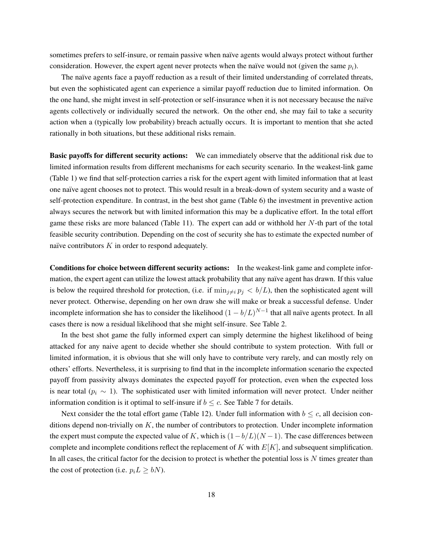sometimes prefers to self-insure, or remain passive when naïve agents would always protect without further consideration. However, the expert agent never protects when the naïve would not (given the same  $p_i$ ).

The naïve agents face a payoff reduction as a result of their limited understanding of correlated threats, but even the sophisticated agent can experience a similar payoff reduction due to limited information. On the one hand, she might invest in self-protection or self-insurance when it is not necessary because the naïve agents collectively or individually secured the network. On the other end, she may fail to take a security action when a (typically low probability) breach actually occurs. It is important to mention that she acted rationally in both situations, but these additional risks remain.

Basic payoffs for different security actions: We can immediately observe that the additional risk due to limited information results from different mechanisms for each security scenario. In the weakest-link game (Table 1) we find that self-protection carries a risk for the expert agent with limited information that at least one naïve agent chooses not to protect. This would result in a break-down of system security and a waste of self-protection expenditure. In contrast, in the best shot game (Table 6) the investment in preventive action always secures the network but with limited information this may be a duplicative effort. In the total effort game these risks are more balanced (Table 11). The expert can add or withhold her  $N$ -th part of the total feasible security contribution. Depending on the cost of security she has to estimate the expected number of naïve contributors  $K$  in order to respond adequately.

Conditions for choice between different security actions: In the weakest-link game and complete information, the expert agent can utilize the lowest attack probability that any naïve agent has drawn. If this value is below the required threshold for protection, (i.e. if  $\min_{j\neq i} p_j < b/L$ ), then the sophisticated agent will never protect. Otherwise, depending on her own draw she will make or break a successful defense. Under incomplete information she has to consider the likelihood  $(1 - b/L)^{N-1}$  that all naïve agents protect. In all cases there is now a residual likelihood that she might self-insure. See Table 2.

In the best shot game the fully informed expert can simply determine the highest likelihood of being attacked for any naive agent to decide whether she should contribute to system protection. With full or limited information, it is obvious that she will only have to contribute very rarely, and can mostly rely on others' efforts. Nevertheless, it is surprising to find that in the incomplete information scenario the expected payoff from passivity always dominates the expected payoff for protection, even when the expected loss is near total ( $p_i \sim 1$ ). The sophisticated user with limited information will never protect. Under neither information condition is it optimal to self-insure if  $b \leq c$ . See Table 7 for details.

Next consider the the total effort game (Table 12). Under full information with  $b \leq c$ , all decision conditions depend non-trivially on  $K$ , the number of contributors to protection. Under incomplete information the expert must compute the expected value of K, which is  $(1-b/L)(N-1)$ . The case differences between complete and incomplete conditions reflect the replacement of  $K$  with  $E[K]$ , and subsequent simplification. In all cases, the critical factor for the decision to protect is whether the potential loss is  $N$  times greater than the cost of protection (i.e.  $p_i L \geq bN$ ).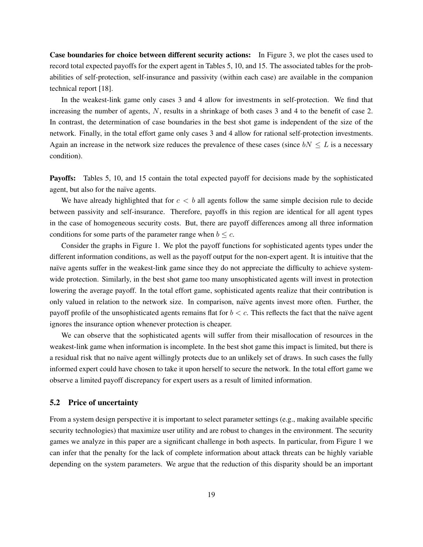Case boundaries for choice between different security actions: In Figure 3, we plot the cases used to record total expected payoffs for the expert agent in Tables 5, 10, and 15. The associated tables for the probabilities of self-protection, self-insurance and passivity (within each case) are available in the companion technical report [18].

In the weakest-link game only cases 3 and 4 allow for investments in self-protection. We find that increasing the number of agents, N, results in a shrinkage of both cases 3 and 4 to the benefit of case 2. In contrast, the determination of case boundaries in the best shot game is independent of the size of the network. Finally, in the total effort game only cases 3 and 4 allow for rational self-protection investments. Again an increase in the network size reduces the prevalence of these cases (since  $bN \leq L$  is a necessary condition).

Payoffs: Tables 5, 10, and 15 contain the total expected payoff for decisions made by the sophisticated agent, but also for the naïve agents.

We have already highlighted that for  $c < b$  all agents follow the same simple decision rule to decide between passivity and self-insurance. Therefore, payoffs in this region are identical for all agent types in the case of homogeneous security costs. But, there are payoff differences among all three information conditions for some parts of the parameter range when  $b \leq c$ .

Consider the graphs in Figure 1. We plot the payoff functions for sophisticated agents types under the different information conditions, as well as the payoff output for the non-expert agent. It is intuitive that the naïve agents suffer in the weakest-link game since they do not appreciate the difficulty to achieve systemwide protection. Similarly, in the best shot game too many unsophisticated agents will invest in protection lowering the average payoff. In the total effort game, sophisticated agents realize that their contribution is only valued in relation to the network size. In comparison, naïve agents invest more often. Further, the payoff profile of the unsophisticated agents remains flat for  $b < c$ . This reflects the fact that the naïve agent ignores the insurance option whenever protection is cheaper.

We can observe that the sophisticated agents will suffer from their misallocation of resources in the weakest-link game when information is incomplete. In the best shot game this impact is limited, but there is a residual risk that no naïve agent willingly protects due to an unlikely set of draws. In such cases the fully informed expert could have chosen to take it upon herself to secure the network. In the total effort game we observe a limited payoff discrepancy for expert users as a result of limited information.

### 5.2 Price of uncertainty

From a system design perspective it is important to select parameter settings (e.g., making available specific security technologies) that maximize user utility and are robust to changes in the environment. The security games we analyze in this paper are a significant challenge in both aspects. In particular, from Figure 1 we can infer that the penalty for the lack of complete information about attack threats can be highly variable depending on the system parameters. We argue that the reduction of this disparity should be an important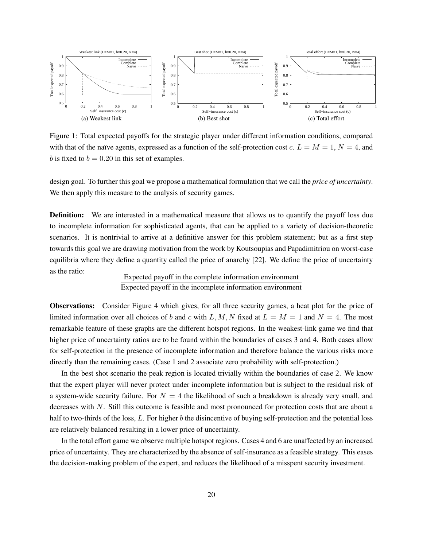

Figure 1: Total expected payoffs for the strategic player under different information conditions, compared with that of the naïve agents, expressed as a function of the self-protection cost c.  $L = M = 1$ ,  $N = 4$ , and b is fixed to  $b = 0.20$  in this set of examples.

design goal. To further this goal we propose a mathematical formulation that we call the *price of uncertainty*. We then apply this measure to the analysis of security games.

**Definition:** We are interested in a mathematical measure that allows us to quantify the payoff loss due to incomplete information for sophisticated agents, that can be applied to a variety of decision-theoretic scenarios. It is nontrivial to arrive at a definitive answer for this problem statement; but as a first step towards this goal we are drawing motivation from the work by Koutsoupias and Papadimitriou on worst-case equilibria where they define a quantity called the price of anarchy [22]. We define the price of uncertainty as the ratio:

Expected payoff in the complete information environment Expected payoff in the incomplete information environment

Observations: Consider Figure 4 which gives, for all three security games, a heat plot for the price of limited information over all choices of b and c with L, M, N fixed at  $L = M = 1$  and  $N = 4$ . The most remarkable feature of these graphs are the different hotspot regions. In the weakest-link game we find that higher price of uncertainty ratios are to be found within the boundaries of cases 3 and 4. Both cases allow for self-protection in the presence of incomplete information and therefore balance the various risks more directly than the remaining cases. (Case 1 and 2 associate zero probability with self-protection.)

In the best shot scenario the peak region is located trivially within the boundaries of case 2. We know that the expert player will never protect under incomplete information but is subject to the residual risk of a system-wide security failure. For  $N = 4$  the likelihood of such a breakdown is already very small, and decreases with N. Still this outcome is feasible and most pronounced for protection costs that are about a half to two-thirds of the loss, L. For higher b the disincentive of buying self-protection and the potential loss are relatively balanced resulting in a lower price of uncertainty.

In the total effort game we observe multiple hotspot regions. Cases 4 and 6 are unaffected by an increased price of uncertainty. They are characterized by the absence of self-insurance as a feasible strategy. This eases the decision-making problem of the expert, and reduces the likelihood of a misspent security investment.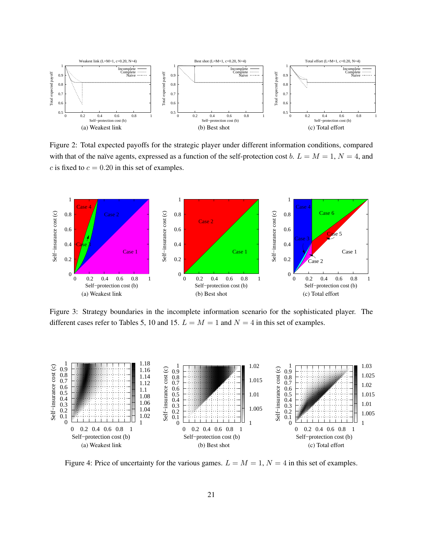

Figure 2: Total expected payoffs for the strategic player under different information conditions, compared with that of the naïve agents, expressed as a function of the self-protection cost b.  $L = M = 1$ ,  $N = 4$ , and c is fixed to  $c = 0.20$  in this set of examples.



Figure 3: Strategy boundaries in the incomplete information scenario for the sophisticated player. The different cases refer to Tables 5, 10 and 15.  $L = M = 1$  and  $N = 4$  in this set of examples.



Figure 4: Price of uncertainty for the various games.  $L = M = 1$ ,  $N = 4$  in this set of examples.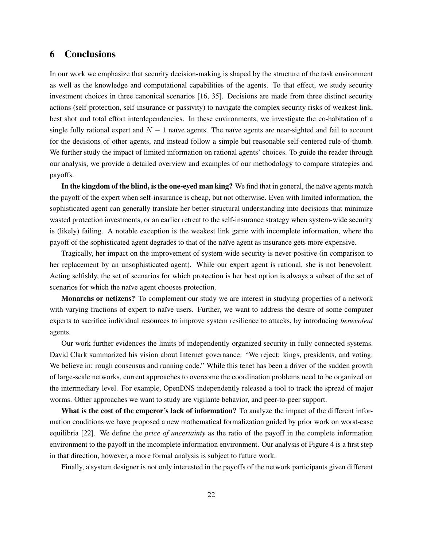## 6 Conclusions

In our work we emphasize that security decision-making is shaped by the structure of the task environment as well as the knowledge and computational capabilities of the agents. To that effect, we study security investment choices in three canonical scenarios [16, 35]. Decisions are made from three distinct security actions (self-protection, self-insurance or passivity) to navigate the complex security risks of weakest-link, best shot and total effort interdependencies. In these environments, we investigate the co-habitation of a single fully rational expert and  $N - 1$  naïve agents. The naïve agents are near-sighted and fail to account for the decisions of other agents, and instead follow a simple but reasonable self-centered rule-of-thumb. We further study the impact of limited information on rational agents' choices. To guide the reader through our analysis, we provide a detailed overview and examples of our methodology to compare strategies and payoffs.

In the kingdom of the blind, is the one-eyed man king? We find that in general, the naïve agents match the payoff of the expert when self-insurance is cheap, but not otherwise. Even with limited information, the sophisticated agent can generally translate her better structural understanding into decisions that minimize wasted protection investments, or an earlier retreat to the self-insurance strategy when system-wide security is (likely) failing. A notable exception is the weakest link game with incomplete information, where the payoff of the sophisticated agent degrades to that of the na¨ıve agent as insurance gets more expensive.

Tragically, her impact on the improvement of system-wide security is never positive (in comparison to her replacement by an unsophisticated agent). While our expert agent is rational, she is not benevolent. Acting selfishly, the set of scenarios for which protection is her best option is always a subset of the set of scenarios for which the naïve agent chooses protection.

Monarchs or netizens? To complement our study we are interest in studying properties of a network with varying fractions of expert to naïve users. Further, we want to address the desire of some computer experts to sacrifice individual resources to improve system resilience to attacks, by introducing *benevolent* agents.

Our work further evidences the limits of independently organized security in fully connected systems. David Clark summarized his vision about Internet governance: "We reject: kings, presidents, and voting. We believe in: rough consensus and running code." While this tenet has been a driver of the sudden growth of large-scale networks, current approaches to overcome the coordination problems need to be organized on the intermediary level. For example, OpenDNS independently released a tool to track the spread of major worms. Other approaches we want to study are vigilante behavior, and peer-to-peer support.

What is the cost of the emperor's lack of information? To analyze the impact of the different information conditions we have proposed a new mathematical formalization guided by prior work on worst-case equilibria [22]. We define the *price of uncertainty* as the ratio of the payoff in the complete information environment to the payoff in the incomplete information environment. Our analysis of Figure 4 is a first step in that direction, however, a more formal analysis is subject to future work.

Finally, a system designer is not only interested in the payoffs of the network participants given different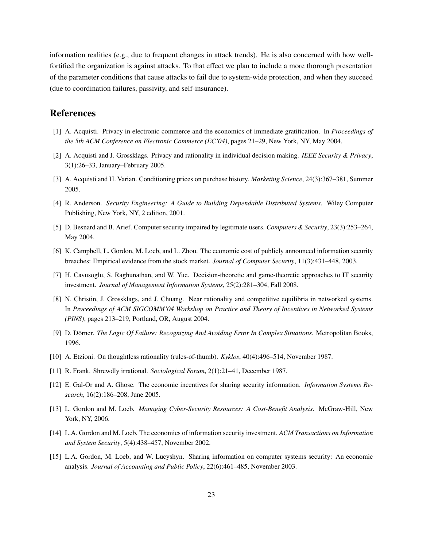information realities (e.g., due to frequent changes in attack trends). He is also concerned with how wellfortified the organization is against attacks. To that effect we plan to include a more thorough presentation of the parameter conditions that cause attacks to fail due to system-wide protection, and when they succeed (due to coordination failures, passivity, and self-insurance).

## References

- [1] A. Acquisti. Privacy in electronic commerce and the economics of immediate gratification. In *Proceedings of the 5th ACM Conference on Electronic Commerce (EC'04)*, pages 21–29, New York, NY, May 2004.
- [2] A. Acquisti and J. Grossklags. Privacy and rationality in individual decision making. *IEEE Security & Privacy*, 3(1):26–33, January–February 2005.
- [3] A. Acquisti and H. Varian. Conditioning prices on purchase history. *Marketing Science*, 24(3):367–381, Summer 2005.
- [4] R. Anderson. *Security Engineering: A Guide to Building Dependable Distributed Systems*. Wiley Computer Publishing, New York, NY, 2 edition, 2001.
- [5] D. Besnard and B. Arief. Computer security impaired by legitimate users. *Computers & Security*, 23(3):253–264, May 2004.
- [6] K. Campbell, L. Gordon, M. Loeb, and L. Zhou. The economic cost of publicly announced information security breaches: Empirical evidence from the stock market. *Journal of Computer Security*, 11(3):431–448, 2003.
- [7] H. Cavusoglu, S. Raghunathan, and W. Yue. Decision-theoretic and game-theoretic approaches to IT security investment. *Journal of Management Information Systems*, 25(2):281–304, Fall 2008.
- [8] N. Christin, J. Grossklags, and J. Chuang. Near rationality and competitive equilibria in networked systems. In *Proceedings of ACM SIGCOMM'04 Workshop on Practice and Theory of Incentives in Networked Systems (PINS)*, pages 213–219, Portland, OR, August 2004.
- [9] D. Dörner. *The Logic Of Failure: Recognizing And Avoiding Error In Complex Situations*. Metropolitan Books, 1996.
- [10] A. Etzioni. On thoughtless rationality (rules-of-thumb). *Kyklos*, 40(4):496–514, November 1987.
- [11] R. Frank. Shrewdly irrational. *Sociological Forum*, 2(1):21–41, December 1987.
- [12] E. Gal-Or and A. Ghose. The economic incentives for sharing security information. *Information Systems Research*, 16(2):186–208, June 2005.
- [13] L. Gordon and M. Loeb. *Managing Cyber-Security Resources: A Cost-Benefit Analysis*. McGraw-Hill, New York, NY, 2006.
- [14] L.A. Gordon and M. Loeb. The economics of information security investment. *ACM Transactions on Information and System Security*, 5(4):438–457, November 2002.
- [15] L.A. Gordon, M. Loeb, and W. Lucyshyn. Sharing information on computer systems security: An economic analysis. *Journal of Accounting and Public Policy*, 22(6):461–485, November 2003.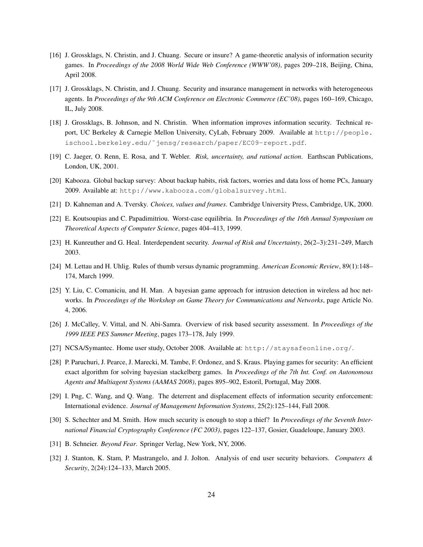- [16] J. Grossklags, N. Christin, and J. Chuang. Secure or insure? A game-theoretic analysis of information security games. In *Proceedings of the 2008 World Wide Web Conference (WWW'08)*, pages 209–218, Beijing, China, April 2008.
- [17] J. Grossklags, N. Christin, and J. Chuang. Security and insurance management in networks with heterogeneous agents. In *Proceedings of the 9th ACM Conference on Electronic Commerce (EC'08)*, pages 160–169, Chicago, IL, July 2008.
- [18] J. Grossklags, B. Johnson, and N. Christin. When information improves information security. Technical report, UC Berkeley & Carnegie Mellon University, CyLab, February 2009. Available at http://people. ischool.berkeley.edu/˜jensg/research/paper/EC09-report.pdf.
- [19] C. Jaeger, O. Renn, E. Rosa, and T. Webler. *Risk, uncertainty, and rational action*. Earthscan Publications, London, UK, 2001.
- [20] Kabooza. Global backup survey: About backup habits, risk factors, worries and data loss of home PCs, January 2009. Available at: http://www.kabooza.com/globalsurvey.html.
- [21] D. Kahneman and A. Tversky. *Choices, values and frames*. Cambridge University Press, Cambridge, UK, 2000.
- [22] E. Koutsoupias and C. Papadimitriou. Worst-case equilibria. In *Proceedings of the 16th Annual Symposium on Theoretical Aspects of Computer Science*, pages 404–413, 1999.
- [23] H. Kunreuther and G. Heal. Interdependent security. *Journal of Risk and Uncertainty*, 26(2–3):231–249, March 2003.
- [24] M. Lettau and H. Uhlig. Rules of thumb versus dynamic programming. *American Economic Review*, 89(1):148– 174, March 1999.
- [25] Y. Liu, C. Comaniciu, and H. Man. A bayesian game approach for intrusion detection in wireless ad hoc networks. In *Proceedings of the Workshop on Game Theory for Communications and Networks*, page Article No. 4, 2006.
- [26] J. McCalley, V. Vittal, and N. Abi-Samra. Overview of risk based security assessment. In *Proceedings of the 1999 IEEE PES Summer Meeting*, pages 173–178, July 1999.
- [27] NCSA/Symantec. Home user study, October 2008. Available at: http://staysafeonline.org/.
- [28] P. Paruchuri, J. Pearce, J. Marecki, M. Tambe, F. Ordonez, and S. Kraus. Playing games for security: An efficient exact algorithm for solving bayesian stackelberg games. In *Proceedings of the 7th Int. Conf. on Autonomous Agents and Multiagent Systems (AAMAS 2008)*, pages 895–902, Estoril, Portugal, May 2008.
- [29] I. Png, C. Wang, and Q. Wang. The deterrent and displacement effects of information security enforcement: International evidence. *Journal of Management Information Systems*, 25(2):125–144, Fall 2008.
- [30] S. Schechter and M. Smith. How much security is enough to stop a thief? In *Proceedings of the Seventh International Financial Cryptography Conference (FC 2003)*, pages 122–137, Gosier, Guadeloupe, January 2003.
- [31] B. Schneier. *Beyond Fear*. Springer Verlag, New York, NY, 2006.
- [32] J. Stanton, K. Stam, P. Mastrangelo, and J. Jolton. Analysis of end user security behaviors. *Computers & Security*, 2(24):124–133, March 2005.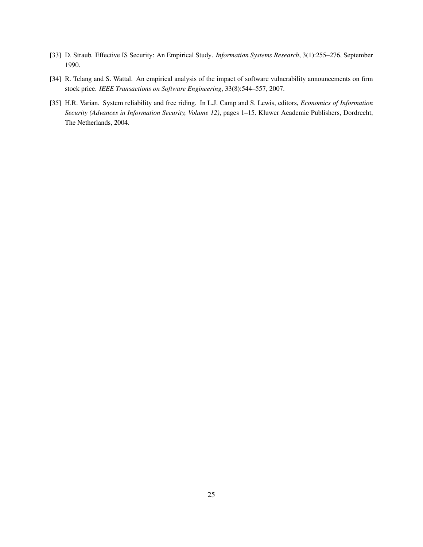- [33] D. Straub. Effective IS Security: An Empirical Study. *Information Systems Research*, 3(1):255–276, September 1990.
- [34] R. Telang and S. Wattal. An empirical analysis of the impact of software vulnerability announcements on firm stock price. *IEEE Transactions on Software Engineering*, 33(8):544–557, 2007.
- [35] H.R. Varian. System reliability and free riding. In L.J. Camp and S. Lewis, editors, *Economics of Information Security (Advances in Information Security, Volume 12)*, pages 1–15. Kluwer Academic Publishers, Dordrecht, The Netherlands, 2004.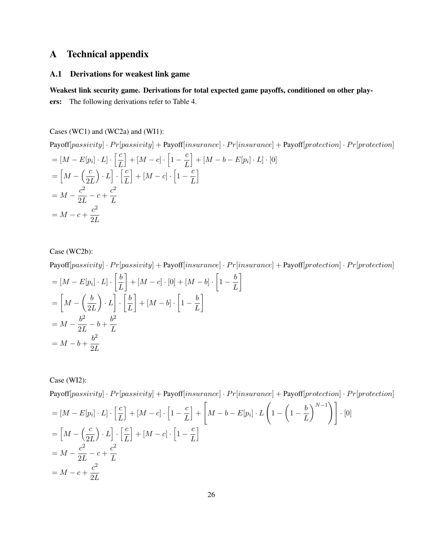# A Technical appendix

### A.1 Derivations for weakest link game

Weakest link security game. Derivations for total expected game payoffs, conditioned on other players: The following derivations refer to Table 4.

Cases (WC1) and (WC2a) and (WI1):

 ${\bf Payoff}[passivity] \cdot Pr[passivity] + {\bf Payoff}[insurance] \cdot Pr[insurance] + {\bf Payoff}[protein] \cdot Pr[protein]$  $=[M-E[p_i]\cdot L]\cdot\left[\frac{c}{l}\right]$ L  $\Big] + [M - c] \cdot \Big[ 1 - \frac{c}{7} \Big]$ L  $\Big]+[M-b-E[p_i]\cdot L]\cdot[0]$  $=\left[M - \left(\frac{c}{2}\right)\right]$  $2L$  $\bigg\} \cdot L \bigg\} \cdot \left[ \frac{c}{\tau} \right]$ L  $\Big]+[M-c]\cdot\Big[1-\frac{c}{l}\Big]$ L i  $= M - \frac{c^2}{2I}$  $\frac{c^2}{2L} - c + \frac{c^2}{L}$ L  $= M - c + \frac{c^2}{2L}$  $2L$ 

Case (WC2b):

 $Payoff[passivity] \cdot Pr[passivity] + Payoff[insurance] \cdot Pr[insurance] + Payoff[protection] \cdot Pr[protection]$ 

$$
= [M - E[p_i] \cdot L] \cdot \left[\frac{b}{L}\right] + [M - c] \cdot [0] + [M - b] \cdot \left[1 - \frac{b}{L}\right]
$$
  

$$
= \left[M - \left(\frac{b}{2L}\right) \cdot L\right] \cdot \left[\frac{b}{L}\right] + [M - b] \cdot \left[1 - \frac{b}{L}\right]
$$
  

$$
= M - \frac{b^2}{2L} - b + \frac{b^2}{L}
$$
  

$$
= M - b + \frac{b^2}{2L}
$$

Case (WI2):

 ${\bf Payoff}[passivity] \cdot Pr[passivity] + {\bf Payoff}[insurance] \cdot Pr[insurance] + {\bf Payoff}[protein] \cdot Pr[protein]$ 

$$
= [M - E[p_i] \cdot L] \cdot \left[\frac{c}{L}\right] + [M - c] \cdot \left[1 - \frac{c}{L}\right] + \left[M - b - E[p_i] \cdot L\left(1 - \left(1 - \frac{b}{L}\right)^{N-1}\right)\right] \cdot [0]
$$
\n
$$
= \left[M - \left(\frac{c}{2L}\right) \cdot L\right] \cdot \left[\frac{c}{L}\right] + [M - c] \cdot \left[1 - \frac{c}{L}\right]
$$
\n
$$
= M - \frac{c^2}{2L} - c + \frac{c^2}{L}
$$
\n
$$
= M - c + \frac{c^2}{2L}
$$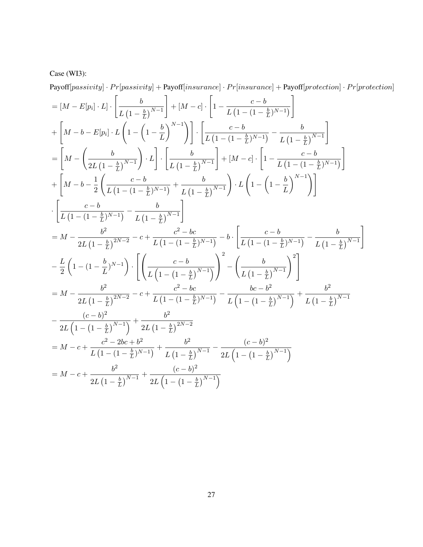# Case (WI3):

 ${\bf Payoff}[passivity] \cdot Pr[passivity] + {\bf Payoff}[insurance] \cdot Pr[insurance] + {\bf Payoff}[protein] \cdot Pr[protein]$ 

$$
= [M - E[p_i] \cdot L] \cdot \left[ \frac{b}{L(1 - \frac{b}{L})^{N-1}} \right] + [M - c] \cdot \left[ 1 - \frac{c - b}{L(1 - (1 - \frac{b}{L})^{N-1})} \right]
$$
\n
$$
+ \left[ M - b - E[p_i] \cdot L \left( 1 - \left( 1 - \frac{b}{L} \right)^{N-1} \right) \right] \cdot \left[ \frac{c - b}{L(1 - (1 - \frac{b}{L})^{N-1})} - \frac{b}{L(1 - \frac{b}{L})^{N-1}} \right]
$$
\n
$$
= \left[ M - \left( \frac{b}{2L(1 - \frac{b}{L})^{N-1}} \right) \cdot L \right] \cdot \left[ \frac{b}{L(1 - \frac{b}{L})^{N-1}} \right] + [M - c] \cdot \left[ 1 - \frac{c - b}{L(1 - (1 - \frac{b}{L})^{N-1})} \right]
$$
\n
$$
+ \left[ M - b - \frac{1}{2} \left( \frac{c - b}{L(1 - (1 - \frac{b}{L})^{N-1})} + \frac{b}{L(1 - \frac{b}{L})^{N-1}} \right) \cdot L \left( 1 - \left( 1 - \frac{b}{L} \right)^{N-1} \right) \right]
$$
\n
$$
\cdot \left[ \frac{c - b}{L(1 - (1 - \frac{b}{L})^{N-1})} - \frac{b}{L(1 - \frac{b}{L})^{N-1}} \right]
$$
\n
$$
= M - \frac{b^2}{2L(1 - \frac{b}{L})^{2N-2}} - c + \frac{c^2 - bc}{L(1 - (1 - \frac{b}{L})^{N-1})} - b \cdot \left[ \frac{c - b}{L(1 - (1 - \frac{b}{L})^{N-1})} - \frac{b}{L(1 - \frac{b}{L})^{N-1}} \right]
$$
\n
$$
= M - \frac{b^2}{2L(1 - \frac{b}{L})^{2N-2}} - c + \frac{c^2 - bc}{L(1 - (1 - \frac{b}{L})^{N-1})} - \frac{bc - b^2}{L(1 - \left( 1 - \frac{b}{L})^{N-1}} + \frac{b^2}{L(1 - \frac{b}{L})^{N-1}}
$$
\n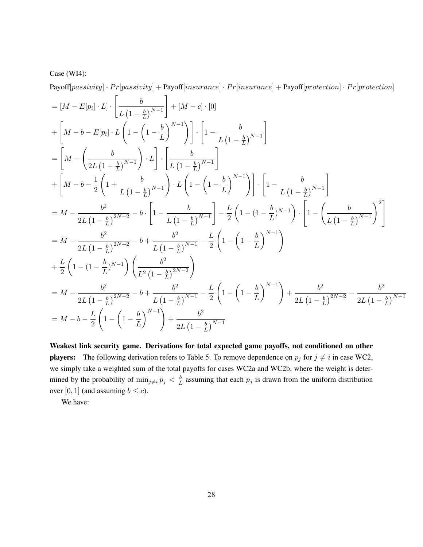### Case (WI4):

 ${\bf Payoff}[passivity] \cdot Pr[passivity] + {\bf Payoff}[insurance] \cdot Pr[insurance] + {\bf Payoff}[protein] \cdot Pr[protein]$ 

$$
= [M - E[p_i] \cdot L] \cdot \left[ \frac{b}{L (1 - \frac{b}{L})^{N-1}} \right] + [M - c] \cdot [0]
$$
  
+ 
$$
\left[ M - b - E[p_i] \cdot L \left( 1 - \left( 1 - \frac{b}{L} \right)^{N-1} \right) \right] \cdot \left[ 1 - \frac{b}{L (1 - \frac{b}{L})^{N-1}} \right]
$$
  
= 
$$
\left[ M - \left( \frac{b}{2L (1 - \frac{b}{L})^{N-1}} \right) \cdot L \right] \cdot \left[ \frac{b}{L (1 - \frac{b}{L})^{N-1}} \right]
$$
  
+ 
$$
\left[ M - b - \frac{1}{2} \left( 1 + \frac{b}{L (1 - \frac{b}{L})^{N-1}} \right) \cdot L \left( 1 - \left( 1 - \frac{b}{L} \right)^{N-1} \right) \right] \cdot \left[ 1 - \frac{b}{L (1 - \frac{b}{L})^{N-1}} \right]
$$
  
= 
$$
M - \frac{b^2}{2L (1 - \frac{b}{L})^{2N-2}} - b \cdot \left[ 1 - \frac{b}{L (1 - \frac{b}{L})^{N-1}} \right] - \frac{L}{2} \left( 1 - (1 - \frac{b}{L})^{N-1} \right) \cdot \left[ 1 - \left( \frac{b}{L (1 - \frac{b}{L})^{N-1}} \right)^2 \right]
$$
  
= 
$$
M - \frac{b^2}{2L (1 - \frac{b}{L})^{2N-2}} - b + \frac{b^2}{L (1 - \frac{b}{L})^{N-1}} - \frac{L}{2} \left( 1 - \left( 1 - \frac{b}{L} \right)^{N-1} \right)
$$
  
+ 
$$
\frac{L}{2} \left( 1 - (1 - \frac{b}{L})^{N-1} \right) \left( \frac{b^2}{L^2 (1 - \frac{b}{L})^{2N-2}} \right)
$$
  
= 
$$
M - \frac{b^2}{2L (1 - \frac{b}{L})^{2N-2}} - b + \frac{b^2}{L (1 - \frac{b}{L})^{N-1}} - \frac{L}{2} \left( 1 - \left( 1 - \frac{b}{L} \right)^{N-1} \right) + \frac{b
$$

Weakest link security game. Derivations for total expected game payoffs, not conditioned on other **players:** The following derivation refers to Table 5. To remove dependence on  $p_j$  for  $j \neq i$  in case WC2, we simply take a weighted sum of the total payoffs for cases WC2a and WC2b, where the weight is determined by the probability of  $\min_{j\neq i} p_j < \frac{b}{l}$  $\frac{b}{L}$  assuming that each  $p_j$  is drawn from the uniform distribution over [0, 1] (and assuming  $b \leq c$ ).

We have: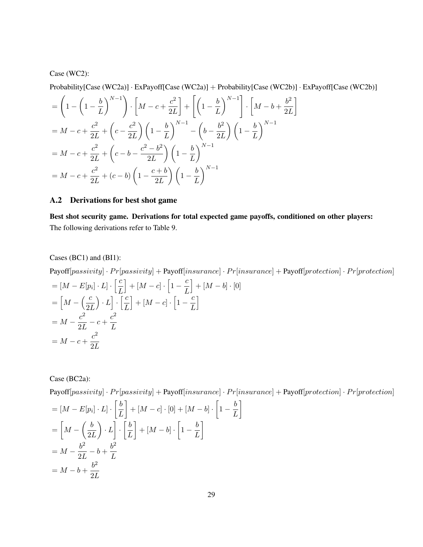### Case (WC2):

Probability[Case (WC2a)] · ExPayoff[Case (WC2a)] + Probability[Case (WC2b)] · ExPayoff[Case (WC2b)]

$$
= \left(1 - \left(1 - \frac{b}{L}\right)^{N-1}\right) \cdot \left[M - c + \frac{c^2}{2L}\right] + \left[\left(1 - \frac{b}{L}\right)^{N-1}\right] \cdot \left[M - b + \frac{b^2}{2L}\right]
$$
  
\n
$$
= M - c + \frac{c^2}{2L} + \left(c - \frac{c^2}{2L}\right) \left(1 - \frac{b}{L}\right)^{N-1} - \left(b - \frac{b^2}{2L}\right) \left(1 - \frac{b}{L}\right)^{N-1}
$$
  
\n
$$
= M - c + \frac{c^2}{2L} + \left(c - b - \frac{c^2 - b^2}{2L}\right) \left(1 - \frac{b}{L}\right)^{N-1}
$$
  
\n
$$
= M - c + \frac{c^2}{2L} + (c - b) \left(1 - \frac{c + b}{2L}\right) \left(1 - \frac{b}{L}\right)^{N-1}
$$

### A.2 Derivations for best shot game

Best shot security game. Derivations for total expected game payoffs, conditioned on other players: The following derivations refer to Table 9.

### Cases (BC1) and (BI1):

 $Payoff[passivity] \cdot Pr[passivity] + Payoff[insurance] \cdot Pr[insurance] + Payoff[protein-1] \cdot Pr[profection] \cdot Pr[profection]$ 

$$
= [M - E[p_i] \cdot L] \cdot \left[\frac{c}{L}\right] + [M - c] \cdot \left[1 - \frac{c}{L}\right] + [M - b] \cdot [0]
$$

$$
= \left[M - \left(\frac{c}{2L}\right) \cdot L\right] \cdot \left[\frac{c}{L}\right] + [M - c] \cdot \left[1 - \frac{c}{L}\right]
$$

$$
= M - \frac{c^2}{2L} - c + \frac{c^2}{L}
$$

$$
= M - c + \frac{c^2}{2L}
$$

Case (BC2a):

 $Payoff[passivity] \cdot Pr[passivity] + Payoff[insurance] \cdot Pr[insurance] + Payoff[protection] \cdot Pr[protection]$ 

$$
= [M - E[p_i] \cdot L] \cdot \left[\frac{b}{L}\right] + [M - c] \cdot [0] + [M - b] \cdot \left[1 - \frac{b}{L}\right]
$$

$$
= \left[M - \left(\frac{b}{2L}\right) \cdot L\right] \cdot \left[\frac{b}{L}\right] + [M - b] \cdot \left[1 - \frac{b}{L}\right]
$$

$$
= M - \frac{b^2}{2L} - b + \frac{b^2}{L}
$$

$$
= M - b + \frac{b^2}{2L}
$$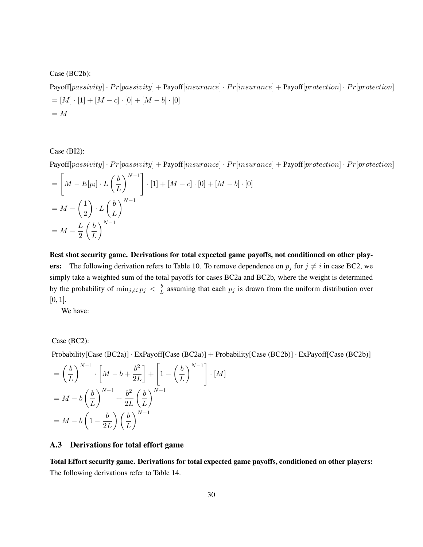Case (BC2b):

 $Payoff[passivity] \cdot Pr[passivity] + Payoff[insurance] \cdot Pr[insurance] + Payoff[protection] \cdot Pr[protection]$  $=[M] \cdot [1] + [M - c] \cdot [0] + [M - b] \cdot [0]$  $= M$ 

Case (BI2):

 $Payoff[passivity] \cdot Pr[passivity] + Payoff[insurance] \cdot Pr[insurance] + Payoff[protection] \cdot Pr[protection]$ 

$$
= \left[ M - E[p_i] \cdot L\left(\frac{b}{L}\right)^{N-1} \right] \cdot [1] + [M - c] \cdot [0] + [M - b] \cdot [0]
$$

$$
= M - \left(\frac{1}{2}\right) \cdot L\left(\frac{b}{L}\right)^{N-1}
$$

$$
= M - \frac{L}{2} \left(\frac{b}{L}\right)^{N-1}
$$

Best shot security game. Derivations for total expected game payoffs, not conditioned on other players: The following derivation refers to Table 10. To remove dependence on  $p_j$  for  $j \neq i$  in case BC2, we simply take a weighted sum of the total payoffs for cases BC2a and BC2b, where the weight is determined by the probability of  $\min_{j\neq i} p_j < \frac{b}{l}$  $\frac{b}{L}$  assuming that each  $p_j$  is drawn from the uniform distribution over  $[0, 1]$ .

We have:

### Case (BC2):

Probability[Case (BC2a)] · ExPayoff[Case (BC2a)] + Probability[Case (BC2b)] · ExPayoff[Case (BC2b)]

$$
= \left(\frac{b}{L}\right)^{N-1} \cdot \left[M - b + \frac{b^2}{2L}\right] + \left[1 - \left(\frac{b}{L}\right)^{N-1}\right] \cdot [M]
$$

$$
= M - b\left(\frac{b}{L}\right)^{N-1} + \frac{b^2}{2L} \left(\frac{b}{L}\right)^{N-1}
$$

$$
= M - b\left(1 - \frac{b}{2L}\right) \left(\frac{b}{L}\right)^{N-1}
$$

### A.3 Derivations for total effort game

Total Effort security game. Derivations for total expected game payoffs, conditioned on other players: The following derivations refer to Table 14.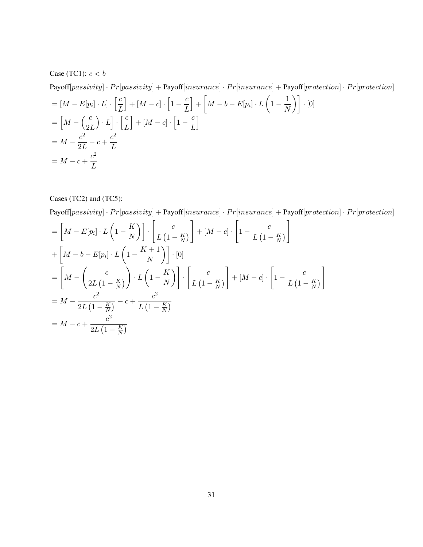Case (TC1):  $c < b$ 

Payoff[passivity] · Pr[passivity] + Payoff[insurance] · Pr[insurance] + Payoff[protection] · Pr[protection]  
\n= 
$$
[M - E[p_i] \cdot L] \cdot \left[\frac{c}{L}\right] + [M - c] \cdot \left[1 - \frac{c}{L}\right] + \left[M - b - E[p_i] \cdot L\left(1 - \frac{1}{N}\right)\right] \cdot [0]
$$
  
\n=  $\left[M - \left(\frac{c}{2L}\right) \cdot L\right] \cdot \left[\frac{c}{L}\right] + [M - c] \cdot \left[1 - \frac{c}{L}\right]$   
\n=  $M - \frac{c^2}{2L} - c + \frac{c^2}{L}$   
\n=  $M - c + \frac{c^2}{L}$ 

Cases (TC2) and (TC5):

 $Payoff [passivity] \cdot Pr [passivity] + Payoff [insurance] \cdot Pr [insurance] + Payoff [protection] \cdot Pr[protection]$ 

$$
= \left[M - E[p_i] \cdot L\left(1 - \frac{K}{N}\right)\right] \cdot \left[\frac{c}{L\left(1 - \frac{K}{N}\right)}\right] + [M - c] \cdot \left[1 - \frac{c}{L\left(1 - \frac{K}{N}\right)}\right]
$$
  
+ 
$$
\left[M - b - E[p_i] \cdot L\left(1 - \frac{K + 1}{N}\right)\right] \cdot [0]
$$
  
= 
$$
\left[M - \left(\frac{c}{2L\left(1 - \frac{K}{N}\right)}\right) \cdot L\left(1 - \frac{K}{N}\right)\right] \cdot \left[\frac{c}{L\left(1 - \frac{K}{N}\right)}\right] + [M - c] \cdot \left[1 - \frac{c}{L\left(1 - \frac{K}{N}\right)}\right]
$$
  
= 
$$
M - \frac{c^2}{2L\left(1 - \frac{K}{N}\right)} - c + \frac{c^2}{L\left(1 - \frac{K}{N}\right)}
$$
  
= 
$$
M - c + \frac{c^2}{2L\left(1 - \frac{K}{N}\right)}
$$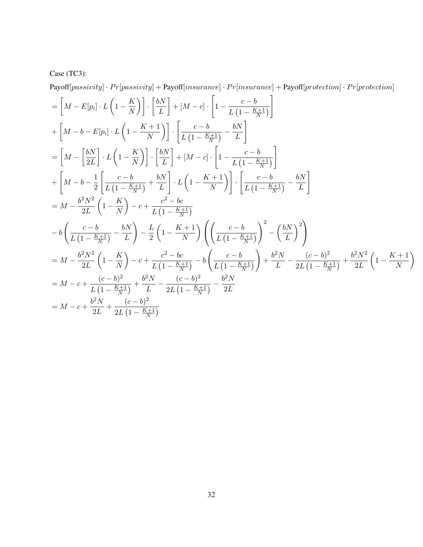# Case (TC3):

 ${\bf Payoff}[passivity] \cdot Pr[passivity] + {\bf Payoff}[insurance] \cdot Pr[insurance] + {\bf Payoff}[protein] \cdot Pr[protein]$ 

$$
\begin{split}\n&= \left[M - E[p_i] \cdot L\left(1 - \frac{K}{N}\right)\right] \cdot \left[\frac{bN}{L}\right] + [M - c] \cdot \left[1 - \frac{c - b}{L\left(1 - \frac{K + 1}{N}\right)}\right] \\
&+ \left[M - b - E[p_i] \cdot L\left(1 - \frac{K + 1}{N}\right)\right] \cdot \left[\frac{c - b}{L\left(1 - \frac{K + 1}{N}\right)} - \frac{bN}{L}\right] \\
&= \left[M - \left[\frac{bN}{2L}\right] \cdot L\left(1 - \frac{K}{N}\right)\right] \cdot \left[\frac{bN}{L}\right] + [M - c] \cdot \left[1 - \frac{c - b}{L\left(1 - \frac{K + 1}{N}\right)}\right] \\
&+ \left[M - b - \frac{1}{2}\left[\frac{c - b}{L\left(1 - \frac{K + 1}{N}\right)} + \frac{bN}{L}\right] \cdot L\left(1 - \frac{K + 1}{N}\right)\right] \cdot \left[\frac{c - b}{L\left(1 - \frac{K + 1}{N}\right)} - \frac{bN}{L}\right] \\
&= M - \frac{b^2 N^2}{2L} \left(1 - \frac{K}{N}\right) - c + \frac{c^2 - bc}{L\left(1 - \frac{K + 1}{N}\right)} \\
&- b\left(\frac{c - b}{L\left(1 - \frac{K + 1}{N}\right)} - \frac{bN}{L}\right) - \frac{L}{2}\left(1 - \frac{K + 1}{N}\right) \left(\left(\frac{c - b}{L\left(1 - \frac{K + 1}{N}\right)}\right)^2 - \left(\frac{bN}{L}\right)^2\right) \\
&= M - \frac{b^2 N^2}{2L} \left(1 - \frac{K}{N}\right) - c + \frac{c^2 - bc}{L\left(1 - \frac{K + 1}{N}\right)} - b\left(\frac{c - b}{L\left(1 - \frac{K + 1}{N}\right)}\right) + \frac{b^2 N}{L} - \frac{(c - b)^2}{2L\left(1 - \frac{K + 1}{N}\right)} + \frac{b^2 N^2}{2L} \left(1 - \frac{K + 1}{N}\right) \\
&= M - c + \frac{(c - b)^2}{L\left(1 - \frac{K + 1}{N}\right)} + \frac{b^2 N}{
$$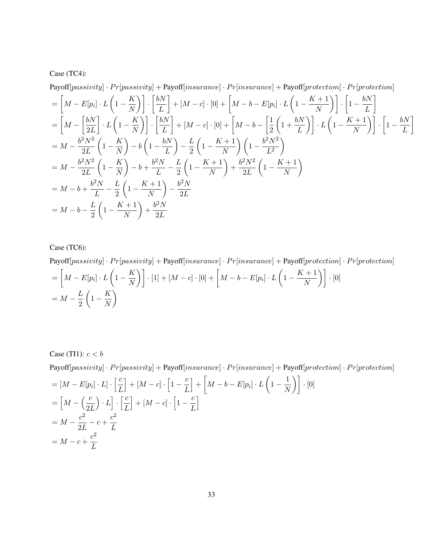### Case (TC4):

 $Payoff[passivity] \cdot Pr[passivity] + Payoff[insurance] \cdot Pr[insurance] + Payoff[protection] \cdot Pr[protection]$ 

$$
= \left[M - E[p_i] \cdot L\left(1 - \frac{K}{N}\right)\right] \cdot \left[\frac{bN}{L}\right] + [M - c] \cdot [0] + \left[M - b - E[p_i] \cdot L\left(1 - \frac{K + 1}{N}\right)\right] \cdot \left[1 - \frac{bN}{L}\right]
$$
  
\n
$$
= \left[M - \left[\frac{bN}{2L}\right] \cdot L\left(1 - \frac{K}{N}\right)\right] \cdot \left[\frac{bN}{L}\right] + [M - c] \cdot [0] + \left[M - b - \left[\frac{1}{2}\left(1 + \frac{bN}{L}\right)\right] \cdot L\left(1 - \frac{K + 1}{N}\right)\right] \cdot \left[1 - \frac{bN}{L}\right]
$$
  
\n
$$
= M - \frac{b^2 N^2}{2L} \left(1 - \frac{K}{N}\right) - b\left(1 - \frac{bN}{L}\right) - \frac{L}{2} \left(1 - \frac{K + 1}{N}\right) \left(1 - \frac{b^2 N^2}{L^2}\right)
$$
  
\n
$$
= M - \frac{b^2 N^2}{2L} \left(1 - \frac{K}{N}\right) - b + \frac{b^2 N}{L} - \frac{L}{2} \left(1 - \frac{K + 1}{N}\right) + \frac{b^2 N^2}{2L} \left(1 - \frac{K + 1}{N}\right)
$$
  
\n
$$
= M - b + \frac{b^2 N}{L} - \frac{L}{2} \left(1 - \frac{K + 1}{N}\right) - \frac{b^2 N}{2L}
$$
  
\n
$$
= M - b - \frac{L}{2} \left(1 - \frac{K + 1}{N}\right) + \frac{b^2 N}{2L}
$$

## Case (TC6):

 $Payoff[passivity] \cdot Pr[passivity] + Payoff[insurance] \cdot Pr[insurance] + Payoff[protection] \cdot Pr[protection]$ 

$$
= \left[M - E[p_i] \cdot L\left(1 - \frac{K}{N}\right)\right] \cdot [1] + [M - c] \cdot [0] + \left[M - b - E[p_i] \cdot L\left(1 - \frac{K+1}{N}\right)\right] \cdot [0]
$$
  
=  $M - \frac{L}{2} \left(1 - \frac{K}{N}\right)$ 

Case (TI1):  $c < b$  ${\bf Payoff}[passivity] \cdot Pr[passivity] + {\bf Payoff}[insurance] \cdot Pr[insurance] + {\bf Payoff}[protein] \cdot Pr[protection] \cdot Pr[protection]$  $=[M-E[p_i]\cdot L]\cdot\left[\frac{c}{L}\right]$ L  $\Big]+[M-c]\cdot\Big[1-\frac{c}{l}\Big]$ L  $\Big\} + \Big[ M - b - E[p_i] \cdot L \left( 1 - \frac{1}{N} \right) \Big\}$  $\left\lfloor \frac{1}{N} \right\rfloor \right] \cdot [0]$  $=\left[M - \left(\frac{c}{2}\right)\right]$  $2L$  $\bigg\} \cdot L \bigg] \cdot \left[ \frac{c}{\tau} \right]$ L  $\Big] + [M - c] \cdot \Big[ 1 - \frac{c}{\tau}$ L i  $= M - \frac{c^2}{2I}$  $\frac{c^2}{2L} - c + \frac{c^2}{L}$ L  $= M - c + \frac{c^2}{I}$ L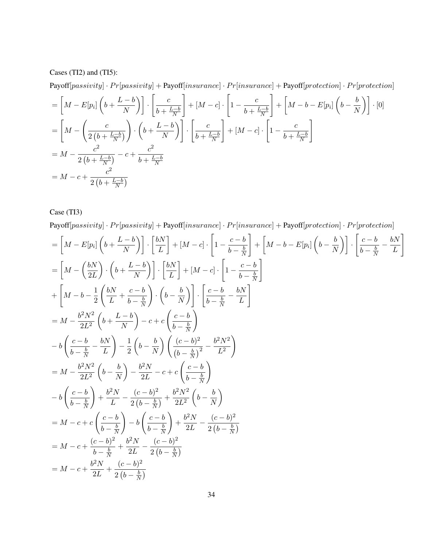Cases (TI2) and (TI5):

 $Payoff[passivity] \cdot Pr[passivity] + Payoff[insurance] \cdot Pr[insurance] + Payoff[protection] \cdot Pr[protection]$ 

$$
= \left[M - E[p_i]\left(b + \frac{L - b}{N}\right)\right] \cdot \left[\frac{c}{b + \frac{L - b}{N}}\right] + [M - c] \cdot \left[1 - \frac{c}{b + \frac{L - b}{N}}\right] + \left[M - b - E[p_i]\left(b - \frac{b}{N}\right)\right] \cdot [0]
$$
\n
$$
= \left[M - \left(\frac{c}{2\left(b + \frac{L - b}{N}\right)}\right) \cdot \left(b + \frac{L - b}{N}\right)\right] \cdot \left[\frac{c}{b + \frac{L - b}{N}}\right] + [M - c] \cdot \left[1 - \frac{c}{b + \frac{L - b}{N}}\right]
$$
\n
$$
= M - \frac{c^2}{2\left(b + \frac{L - b}{N}\right)} - c + \frac{c^2}{b + \frac{L - b}{N}}
$$
\n
$$
= M - c + \frac{c^2}{2\left(b + \frac{L - b}{N}\right)}
$$

Case (TI3)

 ${\bf Payoff}[passivity] \cdot Pr[passivity] + {\bf Payoff}[insurance] \cdot Pr[insurance] + {\bf Payoff}[protein] \cdot Pr[protein]$ 

$$
\begin{split}\n&= \left[M - E[p_i]\left(b + \frac{L - b}{N}\right)\right] \cdot \left[\frac{bN}{L}\right] + [M - c] \cdot \left[1 - \frac{c - b}{b - \frac{b}{N}}\right] + \left[M - b - E[p_i]\left(b - \frac{b}{N}\right)\right] \cdot \left[\frac{c - b}{b - \frac{b}{N}} - \frac{bN}{L}\right] \\
&= \left[M - \left(\frac{bN}{2L}\right) \cdot \left(b + \frac{L - b}{N}\right)\right] \cdot \left[\frac{bN}{L}\right] + [M - c] \cdot \left[1 - \frac{c - b}{b - \frac{b}{N}}\right] \\
&+ \left[M - b - \frac{1}{2}\left(\frac{bN}{L} + \frac{c - b}{b - \frac{b}{N}}\right) \cdot \left(b - \frac{b}{N}\right)\right] \cdot \left[\frac{c - b}{b - \frac{b}{N}} - \frac{bN}{L}\right] \\
&= M - \frac{b^2N^2}{2L^2} \left(b + \frac{L - b}{N}\right) - c + c\left(\frac{c - b}{b - \frac{b}{N}}\right) \\
&- b\left(\frac{c - b}{b - \frac{b}{N}} - \frac{bN}{L}\right) - \frac{1}{2}\left(b - \frac{b}{N}\right) \left(\frac{(c - b)^2}{(b - \frac{b}{N})^2} - \frac{b^2N^2}{L^2}\right) \\
&= M - \frac{b^2N^2}{2L^2} \left(b - \frac{b}{N}\right) - \frac{b^2N}{2L} - c + c\left(\frac{c - b}{b - \frac{b}{N}}\right) \\
&- b\left(\frac{c - b}{b - \frac{b}{N}}\right) + \frac{b^2N}{L} - \frac{(c - b)^2}{2(b - \frac{b}{N})} + \frac{b^2N^2}{2L^2} \left(b - \frac{b}{N}\right) \\
&= M - c + c\left(\frac{c - b}{b - \frac{b}{N}}\right) - b\left(\frac{c - b}{b - \frac{b}{N}}\right) + \frac{b^2N}{2L} - \frac{(c - b)^2}{2(b - \frac{b}{N})} \\
&= M - c + \frac{(c - b)^2}{b - \frac{b}{N}} + \frac{b^2N}{2L} - \frac{(c - b)^2}{2(b - \frac{
$$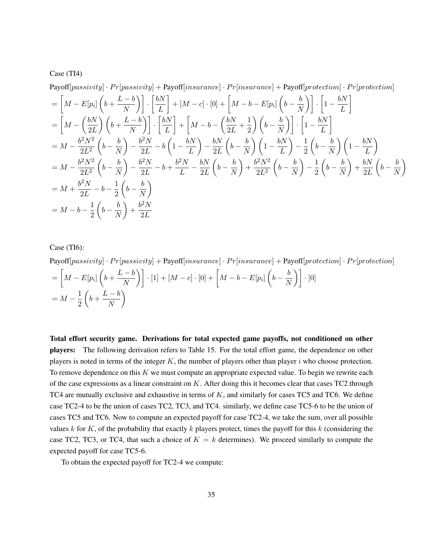#### Case (TI4)

Payoff[passivity] 
$$
\cdot Pr[passivity] + Payoff[insurance] \cdot Pr[insurance] + Payoff[protection] \cdot Pr[protection]
$$
  
\n
$$
= \left[ M - E[p_i] \left( b + \frac{L - b}{N} \right) \right] \cdot \left[ \frac{bN}{L} \right] + [M - c] \cdot [0] + \left[ M - b - E[p_i] \left( b - \frac{b}{N} \right) \right] \cdot \left[ 1 - \frac{bN}{L} \right]
$$
\n
$$
= \left[ M - \left( \frac{bN}{2L} \right) \left( b + \frac{L - b}{N} \right) \right] \cdot \left[ \frac{bN}{L} \right] + \left[ M - b - \left( \frac{bN}{2L} + \frac{1}{2} \right) \left( b - \frac{b}{N} \right) \right] \cdot \left[ 1 - \frac{bN}{L} \right]
$$
\n
$$
= M - \frac{b^2 N^2}{2L^2} \left( b - \frac{b}{N} \right) - \frac{b^2 N}{2L} - b \left( 1 - \frac{bN}{L} \right) - \frac{bN}{2L} \left( b - \frac{b}{N} \right) \left( 1 - \frac{bN}{L} \right) - \frac{1}{2} \left( b - \frac{b}{N} \right) \left( 1 - \frac{bN}{L} \right)
$$
\n
$$
= M - \frac{b^2 N^2}{2L^2} \left( b - \frac{b}{N} \right) - \frac{b^2 N}{2L} - b + \frac{b^2 N}{L} - \frac{bN}{2L} \left( b - \frac{b}{N} \right) + \frac{b^2 N^2}{2L^2} \left( b - \frac{b}{N} \right) - \frac{1}{2} \left( b - \frac{b}{N} \right) + \frac{b^2 N}{2L} \left( b - \frac{b}{N} \right)
$$
\n
$$
= M + \frac{b^2 N}{2L} - b - \frac{1}{2} \left( b - \frac{b}{N} \right)
$$
\n
$$
= M - b - \frac{1}{2} \left( b - \frac{b}{N} \right) + \frac{b^2 N}{2L}
$$

Case (TI6):

 $Payoff[passivity] \cdot Pr[passivity] + Payoff[insurance] \cdot Pr[insurance] + Payoff[protection] \cdot Pr[protection]$ 

$$
= \left[M - E[p_i]\left(b + \frac{L - b}{N}\right)\right] \cdot [1] + [M - c] \cdot [0] + \left[M - b - E[p_i]\left(b - \frac{b}{N}\right)\right] \cdot [0]
$$
  
=  $M - \frac{1}{2}\left(b + \frac{L - b}{N}\right)$ 

Total effort security game. Derivations for total expected game payoffs, not conditioned on other players: The following derivation refers to Table 15. For the total effort game, the dependence on other players is noted in terms of the integer  $K$ , the number of players other than player  $i$  who choose protection. To remove dependence on this  $K$  we must compute an appropriate expected value. To begin we rewrite each of the case expressions as a linear constraint on K. After doing this it becomes clear that cases TC2 through TC4 are mutually exclusive and exhaustive in terms of  $K$ , and similarly for cases TC5 and TC6. We define case TC2-4 to be the union of cases TC2, TC3, and TC4. similarly, we define case TC5-6 to be the union of cases TC5 and TC6. Now to compute an expected payoff for case TC2-4, we take the sum, over all possible values  $k$  for  $K$ , of the probability that exactly  $k$  players protect, times the payoff for this  $k$  (considering the case TC2, TC3, or TC4, that such a choice of  $K = k$  determines). We proceed similarly to compute the expected payoff for case TC5-6.

To obtain the expected payoff for TC2-4 we compute: